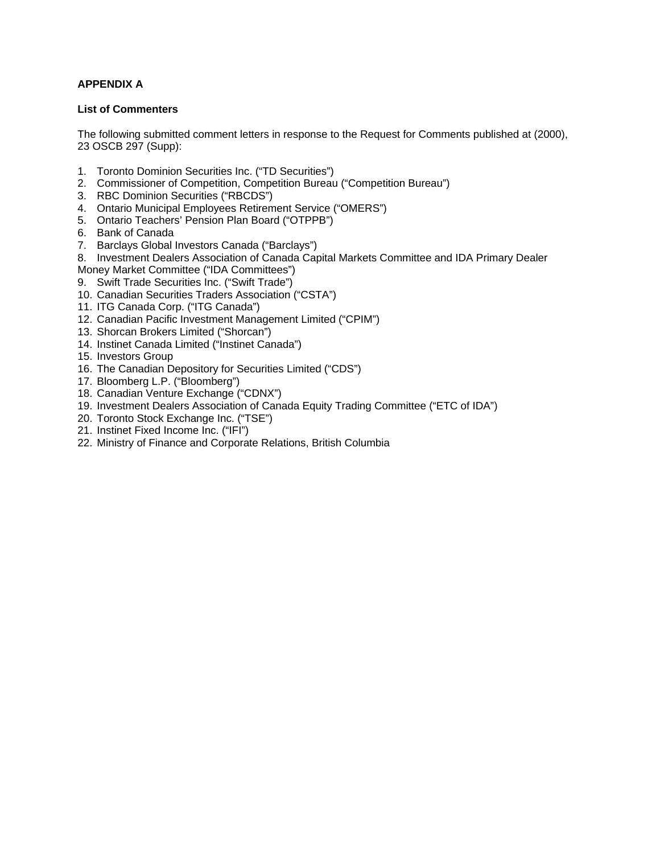## **APPENDIX A**

## **List of Commenters**

The following submitted comment letters in response to the Request for Comments published at (2000), 23 OSCB 297 (Supp):

- 1. Toronto Dominion Securities Inc. ("TD Securities")
- 2. Commissioner of Competition, Competition Bureau ("Competition Bureau")
- 3. RBC Dominion Securities ("RBCDS")
- 4. Ontario Municipal Employees Retirement Service ("OMERS")
- 5. Ontario Teachers' Pension Plan Board ("OTPPB")
- 6. Bank of Canada
- 7. Barclays Global Investors Canada ("Barclays")
- 8. Investment Dealers Association of Canada Capital Markets Committee and IDA Primary Dealer Money Market Committee ("IDA Committees")
- 9. Swift Trade Securities Inc. ("Swift Trade")
- 10. Canadian Securities Traders Association ("CSTA")
- 11. ITG Canada Corp. ("ITG Canada")
- 12. Canadian Pacific Investment Management Limited ("CPIM")
- 13. Shorcan Brokers Limited ("Shorcan")
- 14. Instinet Canada Limited ("Instinet Canada")
- 15. Investors Group
- 16. The Canadian Depository for Securities Limited ("CDS")
- 17. Bloomberg L.P. ("Bloomberg")
- 18. Canadian Venture Exchange ("CDNX")
- 19. Investment Dealers Association of Canada Equity Trading Committee ("ETC of IDA")
- 20. Toronto Stock Exchange Inc. ("TSE")
- 21. Instinet Fixed Income Inc. ("IFI")
- 22. Ministry of Finance and Corporate Relations, British Columbia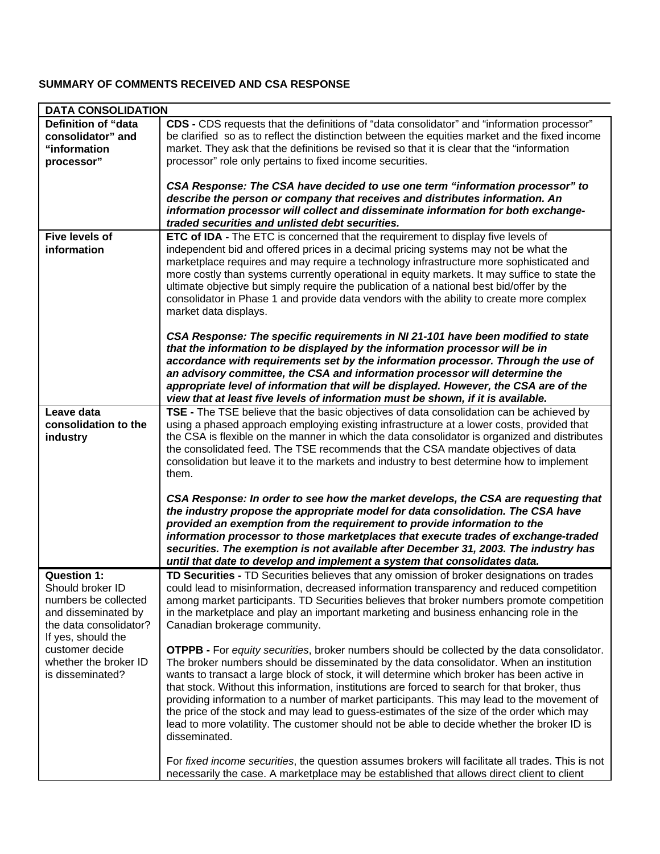## **SUMMARY OF COMMENTS RECEIVED AND CSA RESPONSE**

| <b>DATA CONSOLIDATION</b>                                                                                                             |                                                                                                                                                                                                                                                                                                                                                                                                                                                                                                                                                                                                                                                                                                          |
|---------------------------------------------------------------------------------------------------------------------------------------|----------------------------------------------------------------------------------------------------------------------------------------------------------------------------------------------------------------------------------------------------------------------------------------------------------------------------------------------------------------------------------------------------------------------------------------------------------------------------------------------------------------------------------------------------------------------------------------------------------------------------------------------------------------------------------------------------------|
| <b>Definition of "data</b><br>consolidator" and<br>"information<br>processor"                                                         | <b>CDS</b> - CDS requests that the definitions of "data consolidator" and "information processor"<br>be clarified so as to reflect the distinction between the equities market and the fixed income<br>market. They ask that the definitions be revised so that it is clear that the "information"<br>processor" role only pertains to fixed income securities.                                                                                                                                                                                                                                                                                                                                          |
|                                                                                                                                       | CSA Response: The CSA have decided to use one term "information processor" to<br>describe the person or company that receives and distributes information. An<br>information processor will collect and disseminate information for both exchange-<br>traded securities and unlisted debt securities.                                                                                                                                                                                                                                                                                                                                                                                                    |
| <b>Five levels of</b>                                                                                                                 | ETC of IDA - The ETC is concerned that the requirement to display five levels of                                                                                                                                                                                                                                                                                                                                                                                                                                                                                                                                                                                                                         |
| information                                                                                                                           | independent bid and offered prices in a decimal pricing systems may not be what the<br>marketplace requires and may require a technology infrastructure more sophisticated and<br>more costly than systems currently operational in equity markets. It may suffice to state the<br>ultimate objective but simply require the publication of a national best bid/offer by the<br>consolidator in Phase 1 and provide data vendors with the ability to create more complex<br>market data displays.                                                                                                                                                                                                        |
|                                                                                                                                       | CSA Response: The specific requirements in NI 21-101 have been modified to state<br>that the information to be displayed by the information processor will be in<br>accordance with requirements set by the information processor. Through the use of<br>an advisory committee, the CSA and information processor will determine the<br>appropriate level of information that will be displayed. However, the CSA are of the<br>view that at least five levels of information must be shown, if it is available.                                                                                                                                                                                         |
| Leave data<br>consolidation to the<br>industry                                                                                        | TSE - The TSE believe that the basic objectives of data consolidation can be achieved by<br>using a phased approach employing existing infrastructure at a lower costs, provided that<br>the CSA is flexible on the manner in which the data consolidator is organized and distributes<br>the consolidated feed. The TSE recommends that the CSA mandate objectives of data<br>consolidation but leave it to the markets and industry to best determine how to implement<br>them.                                                                                                                                                                                                                        |
|                                                                                                                                       | CSA Response: In order to see how the market develops, the CSA are requesting that<br>the industry propose the appropriate model for data consolidation. The CSA have<br>provided an exemption from the requirement to provide information to the<br>information processor to those marketplaces that execute trades of exchange-traded<br>securities. The exemption is not available after December 31, 2003. The industry has<br>until that date to develop and implement a system that consolidates data.                                                                                                                                                                                             |
| <b>Question 1:</b><br>Should broker ID<br>numbers be collected<br>and disseminated by<br>the data consolidator?<br>If yes, should the | TD Securities - TD Securities believes that any omission of broker designations on trades<br>could lead to misinformation, decreased information transparency and reduced competition<br>among market participants. TD Securities believes that broker numbers promote competition<br>in the marketplace and play an important marketing and business enhancing role in the<br>Canadian brokerage community.                                                                                                                                                                                                                                                                                             |
| customer decide<br>whether the broker ID<br>is disseminated?                                                                          | <b>OTPPB</b> - For equity securities, broker numbers should be collected by the data consolidator.<br>The broker numbers should be disseminated by the data consolidator. When an institution<br>wants to transact a large block of stock, it will determine which broker has been active in<br>that stock. Without this information, institutions are forced to search for that broker, thus<br>providing information to a number of market participants. This may lead to the movement of<br>the price of the stock and may lead to guess-estimates of the size of the order which may<br>lead to more volatility. The customer should not be able to decide whether the broker ID is<br>disseminated. |
|                                                                                                                                       | For fixed income securities, the question assumes brokers will facilitate all trades. This is not<br>necessarily the case. A marketplace may be established that allows direct client to client                                                                                                                                                                                                                                                                                                                                                                                                                                                                                                          |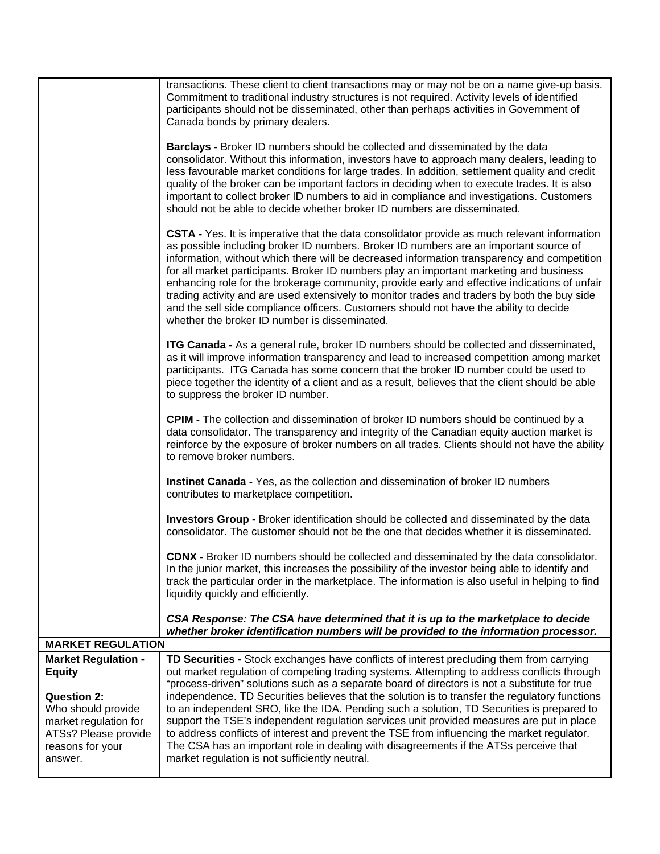| <b>Market Regulation -</b><br><b>Equity</b><br><b>Question 2:</b><br>Who should provide<br>market regulation for<br>ATSs? Please provide<br>reasons for your<br>answer. | out market regulation of competing trading systems. Attempting to address conflicts through<br>"process-driven" solutions such as a separate board of directors is not a substitute for true<br>independence. TD Securities believes that the solution is to transfer the regulatory functions<br>to an independent SRO, like the IDA. Pending such a solution, TD Securities is prepared to<br>support the TSE's independent regulation services unit provided measures are put in place<br>to address conflicts of interest and prevent the TSE from influencing the market regulator.<br>The CSA has an important role in dealing with disagreements if the ATSs perceive that<br>market regulation is not sufficiently neutral. |
|-------------------------------------------------------------------------------------------------------------------------------------------------------------------------|-------------------------------------------------------------------------------------------------------------------------------------------------------------------------------------------------------------------------------------------------------------------------------------------------------------------------------------------------------------------------------------------------------------------------------------------------------------------------------------------------------------------------------------------------------------------------------------------------------------------------------------------------------------------------------------------------------------------------------------|
| <b>MARKET REGULATION</b>                                                                                                                                                | TD Securities - Stock exchanges have conflicts of interest precluding them from carrying                                                                                                                                                                                                                                                                                                                                                                                                                                                                                                                                                                                                                                            |
|                                                                                                                                                                         | CSA Response: The CSA have determined that it is up to the marketplace to decide<br>whether broker identification numbers will be provided to the information processor.                                                                                                                                                                                                                                                                                                                                                                                                                                                                                                                                                            |
|                                                                                                                                                                         | track the particular order in the marketplace. The information is also useful in helping to find<br>liquidity quickly and efficiently.                                                                                                                                                                                                                                                                                                                                                                                                                                                                                                                                                                                              |
|                                                                                                                                                                         | CDNX - Broker ID numbers should be collected and disseminated by the data consolidator.<br>In the junior market, this increases the possibility of the investor being able to identify and                                                                                                                                                                                                                                                                                                                                                                                                                                                                                                                                          |
|                                                                                                                                                                         | <b>Investors Group - Broker identification should be collected and disseminated by the data</b><br>consolidator. The customer should not be the one that decides whether it is disseminated.                                                                                                                                                                                                                                                                                                                                                                                                                                                                                                                                        |
|                                                                                                                                                                         | Instinet Canada - Yes, as the collection and dissemination of broker ID numbers<br>contributes to marketplace competition.                                                                                                                                                                                                                                                                                                                                                                                                                                                                                                                                                                                                          |
|                                                                                                                                                                         | <b>CPIM -</b> The collection and dissemination of broker ID numbers should be continued by a<br>data consolidator. The transparency and integrity of the Canadian equity auction market is<br>reinforce by the exposure of broker numbers on all trades. Clients should not have the ability<br>to remove broker numbers.                                                                                                                                                                                                                                                                                                                                                                                                           |
|                                                                                                                                                                         | ITG Canada - As a general rule, broker ID numbers should be collected and disseminated,<br>as it will improve information transparency and lead to increased competition among market<br>participants. ITG Canada has some concern that the broker ID number could be used to<br>piece together the identity of a client and as a result, believes that the client should be able<br>to suppress the broker ID number.                                                                                                                                                                                                                                                                                                              |
|                                                                                                                                                                         | CSTA - Yes. It is imperative that the data consolidator provide as much relevant information<br>as possible including broker ID numbers. Broker ID numbers are an important source of<br>information, without which there will be decreased information transparency and competition<br>for all market participants. Broker ID numbers play an important marketing and business<br>enhancing role for the brokerage community, provide early and effective indications of unfair<br>trading activity and are used extensively to monitor trades and traders by both the buy side<br>and the sell side compliance officers. Customers should not have the ability to decide<br>whether the broker ID number is disseminated.         |
|                                                                                                                                                                         | <b>Barclays - Broker ID numbers should be collected and disseminated by the data</b><br>consolidator. Without this information, investors have to approach many dealers, leading to<br>less favourable market conditions for large trades. In addition, settlement quality and credit<br>quality of the broker can be important factors in deciding when to execute trades. It is also<br>important to collect broker ID numbers to aid in compliance and investigations. Customers<br>should not be able to decide whether broker ID numbers are disseminated.                                                                                                                                                                     |
|                                                                                                                                                                         | transactions. These client to client transactions may or may not be on a name give-up basis.<br>Commitment to traditional industry structures is not required. Activity levels of identified<br>participants should not be disseminated, other than perhaps activities in Government of<br>Canada bonds by primary dealers.                                                                                                                                                                                                                                                                                                                                                                                                         |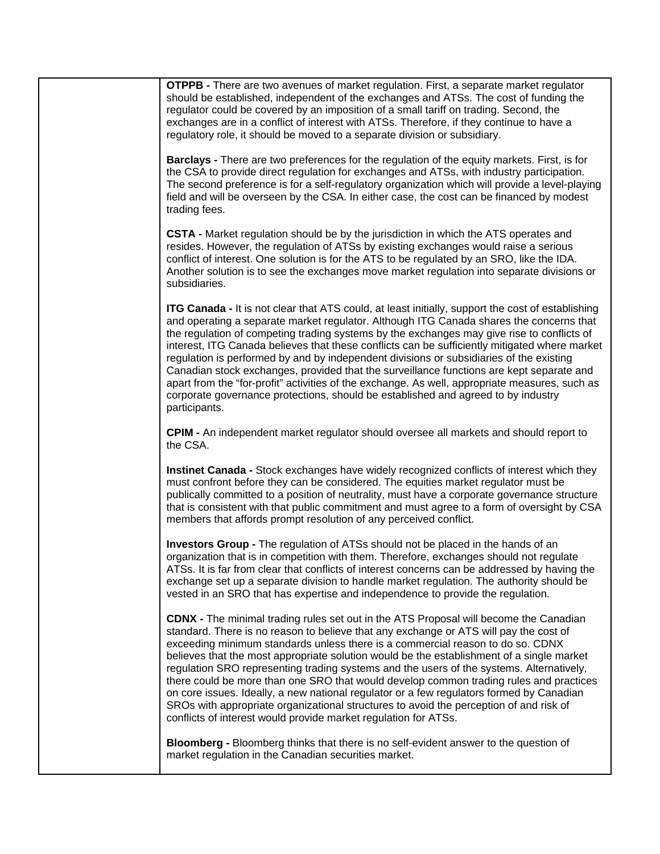| <b>OTPPB</b> - There are two avenues of market regulation. First, a separate market regulator<br>should be established, independent of the exchanges and ATSs. The cost of funding the<br>regulator could be covered by an imposition of a small tariff on trading. Second, the<br>exchanges are in a conflict of interest with ATSs. Therefore, if they continue to have a<br>regulatory role, it should be moved to a separate division or subsidiary.                                                                                                                                                                                                                                                                                                                                                            |
|---------------------------------------------------------------------------------------------------------------------------------------------------------------------------------------------------------------------------------------------------------------------------------------------------------------------------------------------------------------------------------------------------------------------------------------------------------------------------------------------------------------------------------------------------------------------------------------------------------------------------------------------------------------------------------------------------------------------------------------------------------------------------------------------------------------------|
| <b>Barclays</b> - There are two preferences for the regulation of the equity markets. First, is for<br>the CSA to provide direct regulation for exchanges and ATSs, with industry participation.<br>The second preference is for a self-regulatory organization which will provide a level-playing<br>field and will be overseen by the CSA. In either case, the cost can be financed by modest<br>trading fees.                                                                                                                                                                                                                                                                                                                                                                                                    |
| <b>CSTA -</b> Market regulation should be by the jurisdiction in which the ATS operates and<br>resides. However, the regulation of ATSs by existing exchanges would raise a serious<br>conflict of interest. One solution is for the ATS to be regulated by an SRO, like the IDA.<br>Another solution is to see the exchanges move market regulation into separate divisions or<br>subsidiaries.                                                                                                                                                                                                                                                                                                                                                                                                                    |
| <b>ITG Canada - It is not clear that ATS could, at least initially, support the cost of establishing</b><br>and operating a separate market regulator. Although ITG Canada shares the concerns that<br>the regulation of competing trading systems by the exchanges may give rise to conflicts of<br>interest, ITG Canada believes that these conflicts can be sufficiently mitigated where market<br>regulation is performed by and by independent divisions or subsidiaries of the existing<br>Canadian stock exchanges, provided that the surveillance functions are kept separate and<br>apart from the "for-profit" activities of the exchange. As well, appropriate measures, such as<br>corporate governance protections, should be established and agreed to by industry<br>participants.                   |
| <b>CPIM - An independent market regulator should oversee all markets and should report to</b><br>the CSA.                                                                                                                                                                                                                                                                                                                                                                                                                                                                                                                                                                                                                                                                                                           |
| Instinet Canada - Stock exchanges have widely recognized conflicts of interest which they<br>must confront before they can be considered. The equities market regulator must be<br>publically committed to a position of neutrality, must have a corporate governance structure<br>that is consistent with that public commitment and must agree to a form of oversight by CSA<br>members that affords prompt resolution of any perceived conflict.                                                                                                                                                                                                                                                                                                                                                                 |
| Investors Group - The regulation of ATSs should not be placed in the hands of an<br>organization that is in competition with them. Therefore, exchanges should not regulate<br>ATSs. It is far from clear that conflicts of interest concerns can be addressed by having the<br>exchange set up a separate division to handle market regulation. The authority should be<br>vested in an SRO that has expertise and independence to provide the regulation.                                                                                                                                                                                                                                                                                                                                                         |
| <b>CDNX</b> - The minimal trading rules set out in the ATS Proposal will become the Canadian<br>standard. There is no reason to believe that any exchange or ATS will pay the cost of<br>exceeding minimum standards unless there is a commercial reason to do so. CDNX<br>believes that the most appropriate solution would be the establishment of a single market<br>regulation SRO representing trading systems and the users of the systems. Alternatively,<br>there could be more than one SRO that would develop common trading rules and practices<br>on core issues. Ideally, a new national regulator or a few regulators formed by Canadian<br>SROs with appropriate organizational structures to avoid the perception of and risk of<br>conflicts of interest would provide market regulation for ATSs. |
| Bloomberg - Bloomberg thinks that there is no self-evident answer to the question of<br>market regulation in the Canadian securities market.                                                                                                                                                                                                                                                                                                                                                                                                                                                                                                                                                                                                                                                                        |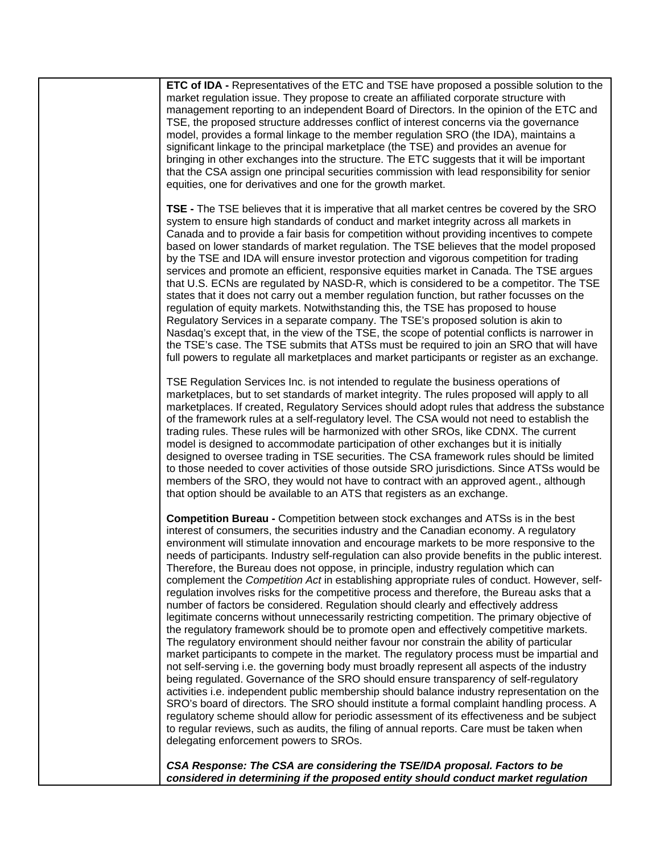| ETC of IDA - Representatives of the ETC and TSE have proposed a possible solution to the<br>market regulation issue. They propose to create an affiliated corporate structure with<br>management reporting to an independent Board of Directors. In the opinion of the ETC and<br>TSE, the proposed structure addresses conflict of interest concerns via the governance<br>model, provides a formal linkage to the member regulation SRO (the IDA), maintains a<br>significant linkage to the principal marketplace (the TSE) and provides an avenue for<br>bringing in other exchanges into the structure. The ETC suggests that it will be important<br>that the CSA assign one principal securities commission with lead responsibility for senior<br>equities, one for derivatives and one for the growth market.                                                                                                                                                                                                                                                                                                                                                                                                                                                                                                                                                                                                                                                                                                                                                                                                                                                                                                                                           |
|------------------------------------------------------------------------------------------------------------------------------------------------------------------------------------------------------------------------------------------------------------------------------------------------------------------------------------------------------------------------------------------------------------------------------------------------------------------------------------------------------------------------------------------------------------------------------------------------------------------------------------------------------------------------------------------------------------------------------------------------------------------------------------------------------------------------------------------------------------------------------------------------------------------------------------------------------------------------------------------------------------------------------------------------------------------------------------------------------------------------------------------------------------------------------------------------------------------------------------------------------------------------------------------------------------------------------------------------------------------------------------------------------------------------------------------------------------------------------------------------------------------------------------------------------------------------------------------------------------------------------------------------------------------------------------------------------------------------------------------------------------------|
| TSE - The TSE believes that it is imperative that all market centres be covered by the SRO<br>system to ensure high standards of conduct and market integrity across all markets in<br>Canada and to provide a fair basis for competition without providing incentives to compete<br>based on lower standards of market regulation. The TSE believes that the model proposed<br>by the TSE and IDA will ensure investor protection and vigorous competition for trading<br>services and promote an efficient, responsive equities market in Canada. The TSE argues<br>that U.S. ECNs are regulated by NASD-R, which is considered to be a competitor. The TSE<br>states that it does not carry out a member regulation function, but rather focusses on the<br>regulation of equity markets. Notwithstanding this, the TSE has proposed to house<br>Regulatory Services in a separate company. The TSE's proposed solution is akin to<br>Nasdaq's except that, in the view of the TSE, the scope of potential conflicts is narrower in<br>the TSE's case. The TSE submits that ATSs must be required to join an SRO that will have<br>full powers to regulate all marketplaces and market participants or register as an exchange.                                                                                                                                                                                                                                                                                                                                                                                                                                                                                                                               |
| TSE Regulation Services Inc. is not intended to regulate the business operations of<br>marketplaces, but to set standards of market integrity. The rules proposed will apply to all<br>marketplaces. If created, Regulatory Services should adopt rules that address the substance<br>of the framework rules at a self-regulatory level. The CSA would not need to establish the<br>trading rules. These rules will be harmonized with other SROs, like CDNX. The current<br>model is designed to accommodate participation of other exchanges but it is initially<br>designed to oversee trading in TSE securities. The CSA framework rules should be limited<br>to those needed to cover activities of those outside SRO jurisdictions. Since ATSs would be<br>members of the SRO, they would not have to contract with an approved agent., although<br>that option should be available to an ATS that registers as an exchange.                                                                                                                                                                                                                                                                                                                                                                                                                                                                                                                                                                                                                                                                                                                                                                                                                               |
| Competition Bureau - Competition between stock exchanges and ATSs is in the best<br>interest of consumers, the securities industry and the Canadian economy. A regulatory<br>environment will stimulate innovation and encourage markets to be more responsive to the<br>needs of participants. Industry self-regulation can also provide benefits in the public interest.<br>Therefore, the Bureau does not oppose, in principle, industry regulation which can<br>complement the Competition Act in establishing appropriate rules of conduct. However, self-<br>regulation involves risks for the competitive process and therefore, the Bureau asks that a<br>number of factors be considered. Regulation should clearly and effectively address<br>legitimate concerns without unnecessarily restricting competition. The primary objective of<br>the regulatory framework should be to promote open and effectively competitive markets.<br>The regulatory environment should neither favour nor constrain the ability of particular<br>market participants to compete in the market. The regulatory process must be impartial and<br>not self-serving i.e. the governing body must broadly represent all aspects of the industry<br>being regulated. Governance of the SRO should ensure transparency of self-regulatory<br>activities i.e. independent public membership should balance industry representation on the<br>SRO's board of directors. The SRO should institute a formal complaint handling process. A<br>regulatory scheme should allow for periodic assessment of its effectiveness and be subject<br>to regular reviews, such as audits, the filing of annual reports. Care must be taken when<br>delegating enforcement powers to SROs. |
| CSA Response: The CSA are considering the TSE/IDA proposal. Factors to be<br>considered in determining if the proposed entity should conduct market regulation                                                                                                                                                                                                                                                                                                                                                                                                                                                                                                                                                                                                                                                                                                                                                                                                                                                                                                                                                                                                                                                                                                                                                                                                                                                                                                                                                                                                                                                                                                                                                                                                   |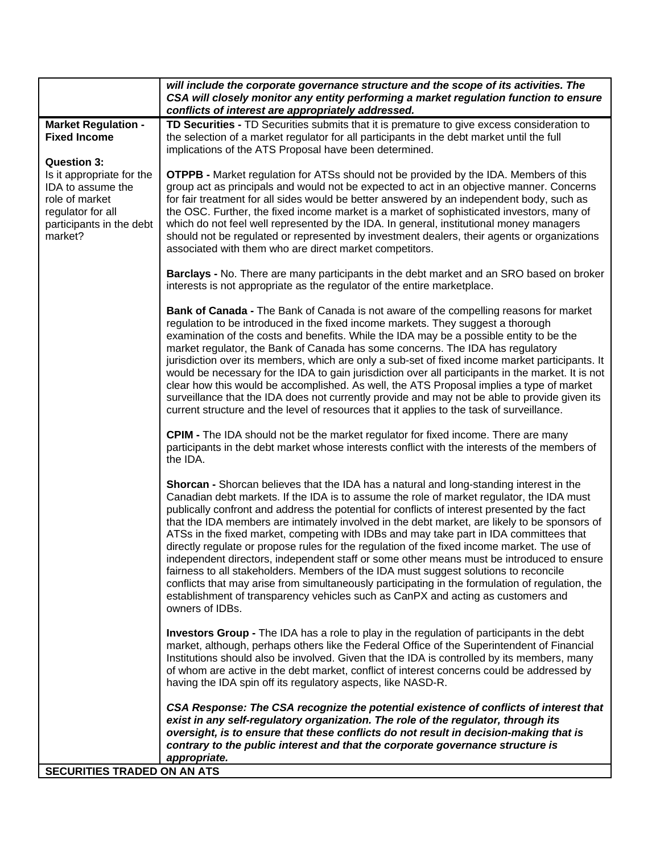|                                                                                                                                                    | will include the corporate governance structure and the scope of its activities. The                                                                                                                                                                                                                                                                                                                                                                                                                                                                                                                                                                                                                                                                                                                                                                                                                                                                                             |
|----------------------------------------------------------------------------------------------------------------------------------------------------|----------------------------------------------------------------------------------------------------------------------------------------------------------------------------------------------------------------------------------------------------------------------------------------------------------------------------------------------------------------------------------------------------------------------------------------------------------------------------------------------------------------------------------------------------------------------------------------------------------------------------------------------------------------------------------------------------------------------------------------------------------------------------------------------------------------------------------------------------------------------------------------------------------------------------------------------------------------------------------|
|                                                                                                                                                    | CSA will closely monitor any entity performing a market regulation function to ensure<br>conflicts of interest are appropriately addressed.                                                                                                                                                                                                                                                                                                                                                                                                                                                                                                                                                                                                                                                                                                                                                                                                                                      |
| <b>Market Regulation -</b><br><b>Fixed Income</b>                                                                                                  | TD Securities - TD Securities submits that it is premature to give excess consideration to<br>the selection of a market regulator for all participants in the debt market until the full<br>implications of the ATS Proposal have been determined.                                                                                                                                                                                                                                                                                                                                                                                                                                                                                                                                                                                                                                                                                                                               |
| <b>Question 3:</b><br>Is it appropriate for the<br>IDA to assume the<br>role of market<br>regulator for all<br>participants in the debt<br>market? | <b>OTPPB -</b> Market regulation for ATSs should not be provided by the IDA. Members of this<br>group act as principals and would not be expected to act in an objective manner. Concerns<br>for fair treatment for all sides would be better answered by an independent body, such as<br>the OSC. Further, the fixed income market is a market of sophisticated investors, many of<br>which do not feel well represented by the IDA. In general, institutional money managers<br>should not be regulated or represented by investment dealers, their agents or organizations<br>associated with them who are direct market competitors.                                                                                                                                                                                                                                                                                                                                         |
|                                                                                                                                                    | Barclays - No. There are many participants in the debt market and an SRO based on broker<br>interests is not appropriate as the regulator of the entire marketplace.                                                                                                                                                                                                                                                                                                                                                                                                                                                                                                                                                                                                                                                                                                                                                                                                             |
|                                                                                                                                                    | Bank of Canada - The Bank of Canada is not aware of the compelling reasons for market<br>regulation to be introduced in the fixed income markets. They suggest a thorough<br>examination of the costs and benefits. While the IDA may be a possible entity to be the<br>market regulator, the Bank of Canada has some concerns. The IDA has regulatory<br>jurisdiction over its members, which are only a sub-set of fixed income market participants. It<br>would be necessary for the IDA to gain jurisdiction over all participants in the market. It is not<br>clear how this would be accomplished. As well, the ATS Proposal implies a type of market<br>surveillance that the IDA does not currently provide and may not be able to provide given its<br>current structure and the level of resources that it applies to the task of surveillance.                                                                                                                        |
|                                                                                                                                                    | <b>CPIM -</b> The IDA should not be the market regulator for fixed income. There are many<br>participants in the debt market whose interests conflict with the interests of the members of<br>the IDA.                                                                                                                                                                                                                                                                                                                                                                                                                                                                                                                                                                                                                                                                                                                                                                           |
|                                                                                                                                                    | Shorcan - Shorcan believes that the IDA has a natural and long-standing interest in the<br>Canadian debt markets. If the IDA is to assume the role of market regulator, the IDA must<br>publically confront and address the potential for conflicts of interest presented by the fact<br>that the IDA members are intimately involved in the debt market, are likely to be sponsors of<br>ATSs in the fixed market, competing with IDBs and may take part in IDA committees that<br>directly regulate or propose rules for the regulation of the fixed income market. The use of<br>independent directors, independent staff or some other means must be introduced to ensure<br>fairness to all stakeholders. Members of the IDA must suggest solutions to reconcile<br>conflicts that may arise from simultaneously participating in the formulation of regulation, the<br>establishment of transparency vehicles such as CanPX and acting as customers and<br>owners of IDBs. |
|                                                                                                                                                    | <b>Investors Group -</b> The IDA has a role to play in the regulation of participants in the debt<br>market, although, perhaps others like the Federal Office of the Superintendent of Financial<br>Institutions should also be involved. Given that the IDA is controlled by its members, many<br>of whom are active in the debt market, conflict of interest concerns could be addressed by<br>having the IDA spin off its regulatory aspects, like NASD-R.                                                                                                                                                                                                                                                                                                                                                                                                                                                                                                                    |
|                                                                                                                                                    | CSA Response: The CSA recognize the potential existence of conflicts of interest that<br>exist in any self-regulatory organization. The role of the regulator, through its<br>oversight, is to ensure that these conflicts do not result in decision-making that is<br>contrary to the public interest and that the corporate governance structure is<br>appropriate.                                                                                                                                                                                                                                                                                                                                                                                                                                                                                                                                                                                                            |
| SECURITIES TRADED ON AN ATS                                                                                                                        |                                                                                                                                                                                                                                                                                                                                                                                                                                                                                                                                                                                                                                                                                                                                                                                                                                                                                                                                                                                  |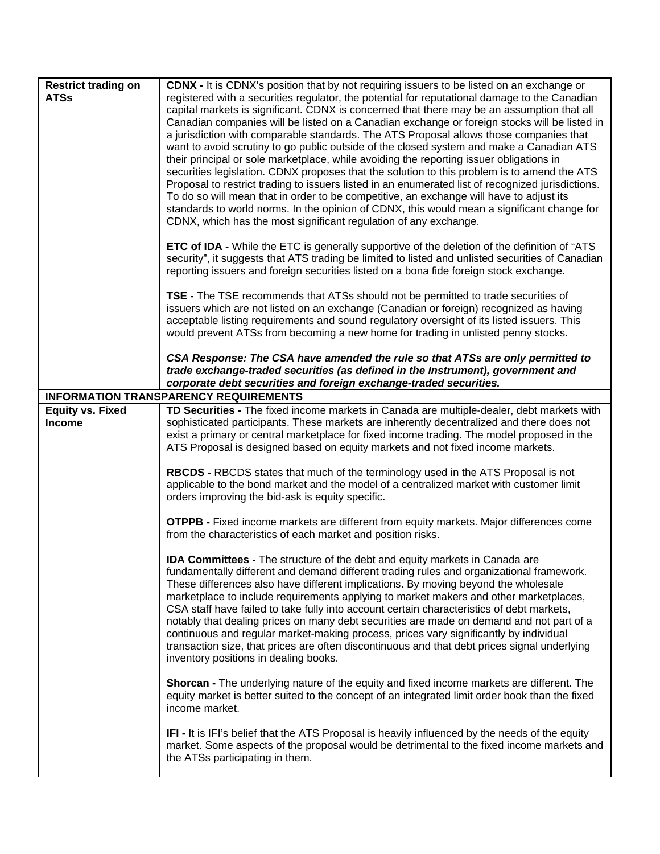| <b>Restrict trading on</b><br><b>ATSs</b> | <b>CDNX - It is CDNX's position that by not requiring issuers to be listed on an exchange or</b><br>registered with a securities regulator, the potential for reputational damage to the Canadian<br>capital markets is significant. CDNX is concerned that there may be an assumption that all<br>Canadian companies will be listed on a Canadian exchange or foreign stocks will be listed in<br>a jurisdiction with comparable standards. The ATS Proposal allows those companies that<br>want to avoid scrutiny to go public outside of the closed system and make a Canadian ATS<br>their principal or sole marketplace, while avoiding the reporting issuer obligations in<br>securities legislation. CDNX proposes that the solution to this problem is to amend the ATS<br>Proposal to restrict trading to issuers listed in an enumerated list of recognized jurisdictions.<br>To do so will mean that in order to be competitive, an exchange will have to adjust its<br>standards to world norms. In the opinion of CDNX, this would mean a significant change for<br>CDNX, which has the most significant regulation of any exchange. |
|-------------------------------------------|---------------------------------------------------------------------------------------------------------------------------------------------------------------------------------------------------------------------------------------------------------------------------------------------------------------------------------------------------------------------------------------------------------------------------------------------------------------------------------------------------------------------------------------------------------------------------------------------------------------------------------------------------------------------------------------------------------------------------------------------------------------------------------------------------------------------------------------------------------------------------------------------------------------------------------------------------------------------------------------------------------------------------------------------------------------------------------------------------------------------------------------------------|
|                                           | <b>ETC of IDA</b> - While the ETC is generally supportive of the deletion of the definition of "ATS<br>security", it suggests that ATS trading be limited to listed and unlisted securities of Canadian<br>reporting issuers and foreign securities listed on a bona fide foreign stock exchange.                                                                                                                                                                                                                                                                                                                                                                                                                                                                                                                                                                                                                                                                                                                                                                                                                                                 |
|                                           | TSE - The TSE recommends that ATSs should not be permitted to trade securities of<br>issuers which are not listed on an exchange (Canadian or foreign) recognized as having<br>acceptable listing requirements and sound regulatory oversight of its listed issuers. This<br>would prevent ATSs from becoming a new home for trading in unlisted penny stocks.                                                                                                                                                                                                                                                                                                                                                                                                                                                                                                                                                                                                                                                                                                                                                                                    |
|                                           | CSA Response: The CSA have amended the rule so that ATSs are only permitted to<br>trade exchange-traded securities (as defined in the Instrument), government and<br>corporate debt securities and foreign exchange-traded securities.                                                                                                                                                                                                                                                                                                                                                                                                                                                                                                                                                                                                                                                                                                                                                                                                                                                                                                            |
|                                           | <b>INFORMATION TRANSPARENCY REQUIREMENTS</b>                                                                                                                                                                                                                                                                                                                                                                                                                                                                                                                                                                                                                                                                                                                                                                                                                                                                                                                                                                                                                                                                                                      |
| <b>Equity vs. Fixed</b><br><b>Income</b>  | TD Securities - The fixed income markets in Canada are multiple-dealer, debt markets with<br>sophisticated participants. These markets are inherently decentralized and there does not<br>exist a primary or central marketplace for fixed income trading. The model proposed in the<br>ATS Proposal is designed based on equity markets and not fixed income markets.                                                                                                                                                                                                                                                                                                                                                                                                                                                                                                                                                                                                                                                                                                                                                                            |
|                                           | <b>RBCDS - RBCDS</b> states that much of the terminology used in the ATS Proposal is not<br>applicable to the bond market and the model of a centralized market with customer limit<br>orders improving the bid-ask is equity specific.                                                                                                                                                                                                                                                                                                                                                                                                                                                                                                                                                                                                                                                                                                                                                                                                                                                                                                           |
|                                           | <b>OTPPB</b> - Fixed income markets are different from equity markets. Major differences come<br>from the characteristics of each market and position risks.                                                                                                                                                                                                                                                                                                                                                                                                                                                                                                                                                                                                                                                                                                                                                                                                                                                                                                                                                                                      |
|                                           | <b>IDA Committees -</b> The structure of the debt and equity markets in Canada are<br>fundamentally different and demand different trading rules and organizational framework.<br>These differences also have different implications. By moving beyond the wholesale<br>marketplace to include requirements applying to market makers and other marketplaces,<br>CSA staff have failed to take fully into account certain characteristics of debt markets,<br>notably that dealing prices on many debt securities are made on demand and not part of a<br>continuous and regular market-making process, prices vary significantly by individual<br>transaction size, that prices are often discontinuous and that debt prices signal underlying<br>inventory positions in dealing books.                                                                                                                                                                                                                                                                                                                                                          |
|                                           | <b>Shorcan -</b> The underlying nature of the equity and fixed income markets are different. The<br>equity market is better suited to the concept of an integrated limit order book than the fixed<br>income market.                                                                                                                                                                                                                                                                                                                                                                                                                                                                                                                                                                                                                                                                                                                                                                                                                                                                                                                              |
|                                           | IFI - It is IFI's belief that the ATS Proposal is heavily influenced by the needs of the equity<br>market. Some aspects of the proposal would be detrimental to the fixed income markets and<br>the ATSs participating in them.                                                                                                                                                                                                                                                                                                                                                                                                                                                                                                                                                                                                                                                                                                                                                                                                                                                                                                                   |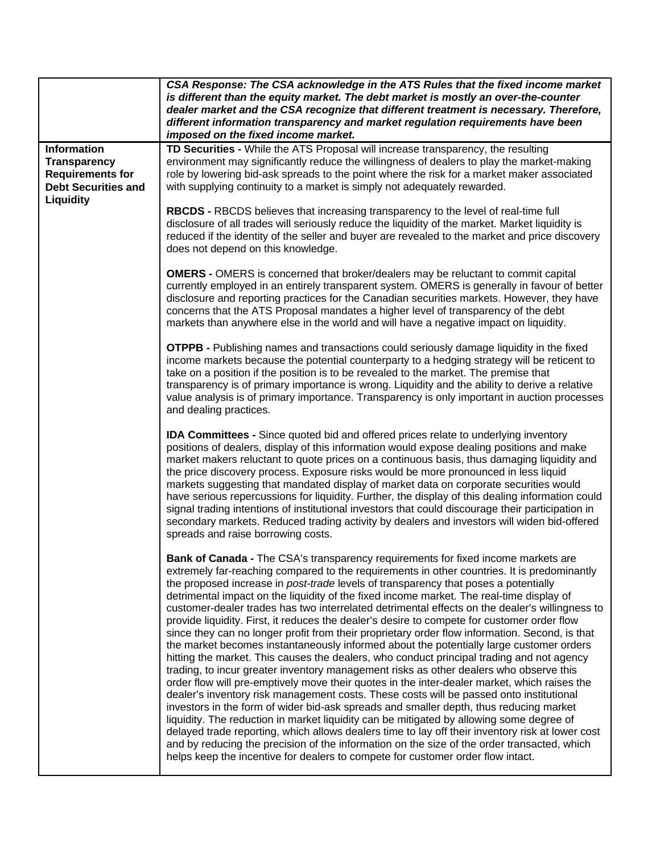|                                                                                                    | CSA Response: The CSA acknowledge in the ATS Rules that the fixed income market<br>is different than the equity market. The debt market is mostly an over-the-counter<br>dealer market and the CSA recognize that different treatment is necessary. Therefore,<br>different information transparency and market regulation requirements have been<br>imposed on the fixed income market.                                                                                                                                                                                                                                                                                                                                                                                                                                                                                                                                                                                                                                                                                                                                                                                                                                                                                                                                                                                                                                                                                                                                                                                                                                        |
|----------------------------------------------------------------------------------------------------|---------------------------------------------------------------------------------------------------------------------------------------------------------------------------------------------------------------------------------------------------------------------------------------------------------------------------------------------------------------------------------------------------------------------------------------------------------------------------------------------------------------------------------------------------------------------------------------------------------------------------------------------------------------------------------------------------------------------------------------------------------------------------------------------------------------------------------------------------------------------------------------------------------------------------------------------------------------------------------------------------------------------------------------------------------------------------------------------------------------------------------------------------------------------------------------------------------------------------------------------------------------------------------------------------------------------------------------------------------------------------------------------------------------------------------------------------------------------------------------------------------------------------------------------------------------------------------------------------------------------------------|
| <b>Information</b><br><b>Transparency</b><br><b>Requirements for</b><br><b>Debt Securities and</b> | TD Securities - While the ATS Proposal will increase transparency, the resulting<br>environment may significantly reduce the willingness of dealers to play the market-making<br>role by lowering bid-ask spreads to the point where the risk for a market maker associated<br>with supplying continuity to a market is simply not adequately rewarded.                                                                                                                                                                                                                                                                                                                                                                                                                                                                                                                                                                                                                                                                                                                                                                                                                                                                                                                                                                                                                                                                                                                                                                                                                                                                         |
| Liquidity                                                                                          | <b>RBCDS - RBCDS</b> believes that increasing transparency to the level of real-time full<br>disclosure of all trades will seriously reduce the liquidity of the market. Market liquidity is<br>reduced if the identity of the seller and buyer are revealed to the market and price discovery<br>does not depend on this knowledge.                                                                                                                                                                                                                                                                                                                                                                                                                                                                                                                                                                                                                                                                                                                                                                                                                                                                                                                                                                                                                                                                                                                                                                                                                                                                                            |
|                                                                                                    | <b>OMERS</b> - OMERS is concerned that broker/dealers may be reluctant to commit capital<br>currently employed in an entirely transparent system. OMERS is generally in favour of better<br>disclosure and reporting practices for the Canadian securities markets. However, they have<br>concerns that the ATS Proposal mandates a higher level of transparency of the debt<br>markets than anywhere else in the world and will have a negative impact on liquidity.                                                                                                                                                                                                                                                                                                                                                                                                                                                                                                                                                                                                                                                                                                                                                                                                                                                                                                                                                                                                                                                                                                                                                           |
|                                                                                                    | <b>OTPPB -</b> Publishing names and transactions could seriously damage liquidity in the fixed<br>income markets because the potential counterparty to a hedging strategy will be reticent to<br>take on a position if the position is to be revealed to the market. The premise that<br>transparency is of primary importance is wrong. Liquidity and the ability to derive a relative<br>value analysis is of primary importance. Transparency is only important in auction processes<br>and dealing practices.                                                                                                                                                                                                                                                                                                                                                                                                                                                                                                                                                                                                                                                                                                                                                                                                                                                                                                                                                                                                                                                                                                               |
|                                                                                                    | <b>IDA Committees -</b> Since quoted bid and offered prices relate to underlying inventory<br>positions of dealers, display of this information would expose dealing positions and make<br>market makers reluctant to quote prices on a continuous basis, thus damaging liquidity and<br>the price discovery process. Exposure risks would be more pronounced in less liquid<br>markets suggesting that mandated display of market data on corporate securities would<br>have serious repercussions for liquidity. Further, the display of this dealing information could<br>signal trading intentions of institutional investors that could discourage their participation in<br>secondary markets. Reduced trading activity by dealers and investors will widen bid-offered<br>spreads and raise borrowing costs.                                                                                                                                                                                                                                                                                                                                                                                                                                                                                                                                                                                                                                                                                                                                                                                                             |
|                                                                                                    | Bank of Canada - The CSA's transparency requirements for fixed income markets are<br>extremely far-reaching compared to the requirements in other countries. It is predominantly<br>the proposed increase in post-trade levels of transparency that poses a potentially<br>detrimental impact on the liquidity of the fixed income market. The real-time display of<br>customer-dealer trades has two interrelated detrimental effects on the dealer's willingness to<br>provide liquidity. First, it reduces the dealer's desire to compete for customer order flow<br>since they can no longer profit from their proprietary order flow information. Second, is that<br>the market becomes instantaneously informed about the potentially large customer orders<br>hitting the market. This causes the dealers, who conduct principal trading and not agency<br>trading, to incur greater inventory management risks as other dealers who observe this<br>order flow will pre-emptively move their quotes in the inter-dealer market, which raises the<br>dealer's inventory risk management costs. These costs will be passed onto institutional<br>investors in the form of wider bid-ask spreads and smaller depth, thus reducing market<br>liquidity. The reduction in market liquidity can be mitigated by allowing some degree of<br>delayed trade reporting, which allows dealers time to lay off their inventory risk at lower cost<br>and by reducing the precision of the information on the size of the order transacted, which<br>helps keep the incentive for dealers to compete for customer order flow intact. |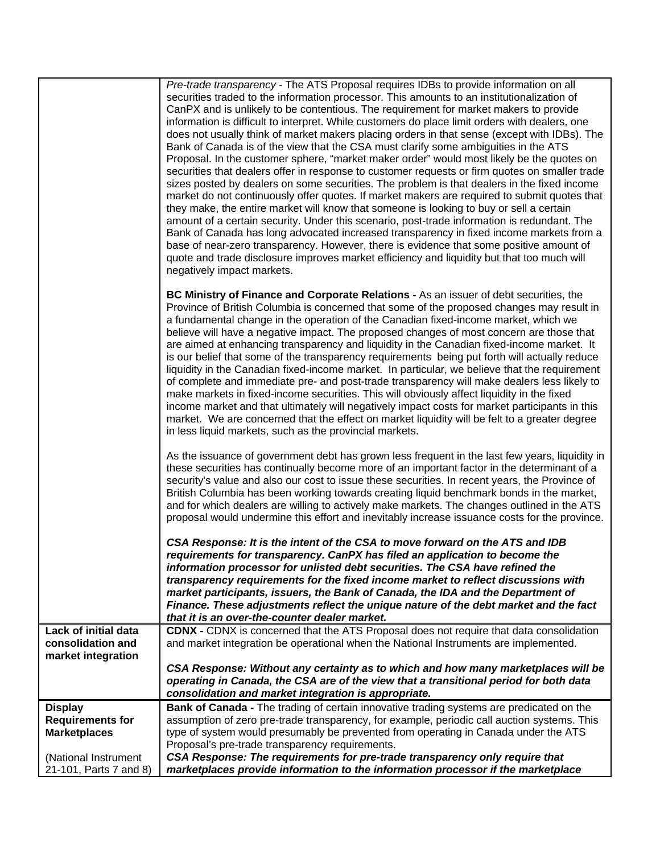|                                                  | Pre-trade transparency - The ATS Proposal requires IDBs to provide information on all<br>securities traded to the information processor. This amounts to an institutionalization of<br>CanPX and is unlikely to be contentious. The requirement for market makers to provide<br>information is difficult to interpret. While customers do place limit orders with dealers, one<br>does not usually think of market makers placing orders in that sense (except with IDBs). The<br>Bank of Canada is of the view that the CSA must clarify some ambiguities in the ATS<br>Proposal. In the customer sphere, "market maker order" would most likely be the quotes on<br>securities that dealers offer in response to customer requests or firm quotes on smaller trade<br>sizes posted by dealers on some securities. The problem is that dealers in the fixed income<br>market do not continuously offer quotes. If market makers are required to submit quotes that<br>they make, the entire market will know that someone is looking to buy or sell a certain<br>amount of a certain security. Under this scenario, post-trade information is redundant. The<br>Bank of Canada has long advocated increased transparency in fixed income markets from a<br>base of near-zero transparency. However, there is evidence that some positive amount of<br>quote and trade disclosure improves market efficiency and liquidity but that too much will<br>negatively impact markets. |
|--------------------------------------------------|---------------------------------------------------------------------------------------------------------------------------------------------------------------------------------------------------------------------------------------------------------------------------------------------------------------------------------------------------------------------------------------------------------------------------------------------------------------------------------------------------------------------------------------------------------------------------------------------------------------------------------------------------------------------------------------------------------------------------------------------------------------------------------------------------------------------------------------------------------------------------------------------------------------------------------------------------------------------------------------------------------------------------------------------------------------------------------------------------------------------------------------------------------------------------------------------------------------------------------------------------------------------------------------------------------------------------------------------------------------------------------------------------------------------------------------------------------------------------------|
|                                                  | BC Ministry of Finance and Corporate Relations - As an issuer of debt securities, the<br>Province of British Columbia is concerned that some of the proposed changes may result in<br>a fundamental change in the operation of the Canadian fixed-income market, which we<br>believe will have a negative impact. The proposed changes of most concern are those that<br>are aimed at enhancing transparency and liquidity in the Canadian fixed-income market. It<br>is our belief that some of the transparency requirements being put forth will actually reduce<br>liquidity in the Canadian fixed-income market. In particular, we believe that the requirement<br>of complete and immediate pre- and post-trade transparency will make dealers less likely to<br>make markets in fixed-income securities. This will obviously affect liquidity in the fixed<br>income market and that ultimately will negatively impact costs for market participants in this<br>market. We are concerned that the effect on market liquidity will be felt to a greater degree<br>in less liquid markets, such as the provincial markets.                                                                                                                                                                                                                                                                                                                                                 |
|                                                  | As the issuance of government debt has grown less frequent in the last few years, liquidity in<br>these securities has continually become more of an important factor in the determinant of a<br>security's value and also our cost to issue these securities. In recent years, the Province of<br>British Columbia has been working towards creating liquid benchmark bonds in the market,<br>and for which dealers are willing to actively make markets. The changes outlined in the ATS<br>proposal would undermine this effort and inevitably increase issuance costs for the province.                                                                                                                                                                                                                                                                                                                                                                                                                                                                                                                                                                                                                                                                                                                                                                                                                                                                                     |
|                                                  | CSA Response: It is the intent of the CSA to move forward on the ATS and IDB<br>requirements for transparency. CanPX has filed an application to become the<br>information processor for unlisted debt securities. The CSA have refined the<br>transparency requirements for the fixed income market to reflect discussions with<br>market participants, issuers, the Bank of Canada, the IDA and the Department of<br>Finance. These adjustments reflect the unique nature of the debt market and the fact<br>that it is an over-the-counter dealer market.                                                                                                                                                                                                                                                                                                                                                                                                                                                                                                                                                                                                                                                                                                                                                                                                                                                                                                                    |
| <b>Lack of initial data</b><br>consolidation and | CDNX - CDNX is concerned that the ATS Proposal does not require that data consolidation<br>and market integration be operational when the National Instruments are implemented.                                                                                                                                                                                                                                                                                                                                                                                                                                                                                                                                                                                                                                                                                                                                                                                                                                                                                                                                                                                                                                                                                                                                                                                                                                                                                                 |
| market integration                               |                                                                                                                                                                                                                                                                                                                                                                                                                                                                                                                                                                                                                                                                                                                                                                                                                                                                                                                                                                                                                                                                                                                                                                                                                                                                                                                                                                                                                                                                                 |
|                                                  | CSA Response: Without any certainty as to which and how many marketplaces will be<br>operating in Canada, the CSA are of the view that a transitional period for both data<br>consolidation and market integration is appropriate.                                                                                                                                                                                                                                                                                                                                                                                                                                                                                                                                                                                                                                                                                                                                                                                                                                                                                                                                                                                                                                                                                                                                                                                                                                              |
| <b>Display</b>                                   | <b>Bank of Canada - The trading of certain innovative trading systems are predicated on the</b>                                                                                                                                                                                                                                                                                                                                                                                                                                                                                                                                                                                                                                                                                                                                                                                                                                                                                                                                                                                                                                                                                                                                                                                                                                                                                                                                                                                 |
| <b>Requirements for</b><br><b>Marketplaces</b>   | assumption of zero pre-trade transparency, for example, periodic call auction systems. This<br>type of system would presumably be prevented from operating in Canada under the ATS<br>Proposal's pre-trade transparency requirements.                                                                                                                                                                                                                                                                                                                                                                                                                                                                                                                                                                                                                                                                                                                                                                                                                                                                                                                                                                                                                                                                                                                                                                                                                                           |
| (National Instrument                             | CSA Response: The requirements for pre-trade transparency only require that                                                                                                                                                                                                                                                                                                                                                                                                                                                                                                                                                                                                                                                                                                                                                                                                                                                                                                                                                                                                                                                                                                                                                                                                                                                                                                                                                                                                     |
| 21-101, Parts 7 and 8)                           | marketplaces provide information to the information processor if the marketplace                                                                                                                                                                                                                                                                                                                                                                                                                                                                                                                                                                                                                                                                                                                                                                                                                                                                                                                                                                                                                                                                                                                                                                                                                                                                                                                                                                                                |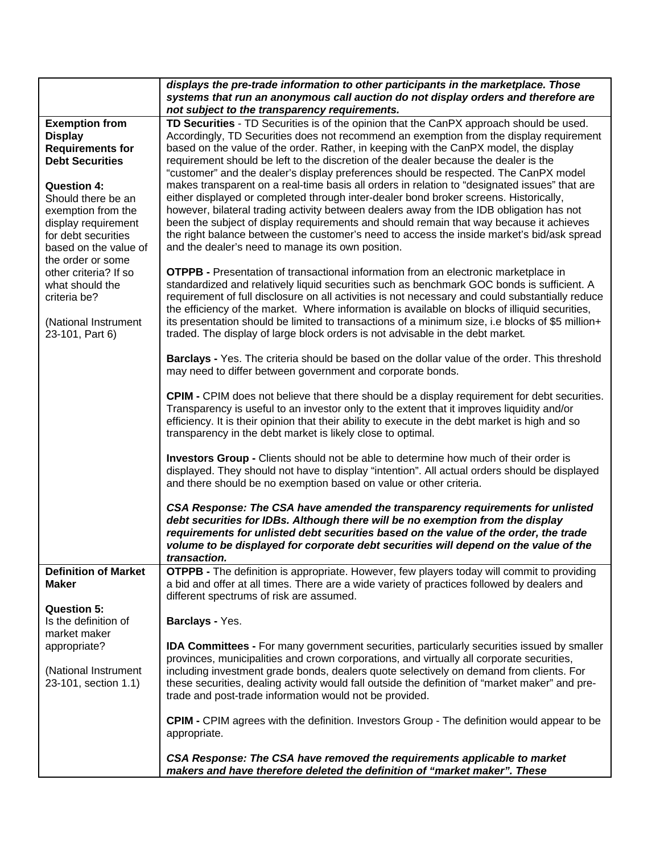|                                            | displays the pre-trade information to other participants in the marketplace. Those                                                                                                  |
|--------------------------------------------|-------------------------------------------------------------------------------------------------------------------------------------------------------------------------------------|
|                                            | systems that run an anonymous call auction do not display orders and therefore are                                                                                                  |
|                                            | not subject to the transparency requirements.                                                                                                                                       |
| <b>Exemption from</b><br><b>Display</b>    | TD Securities - TD Securities is of the opinion that the CanPX approach should be used.<br>Accordingly, TD Securities does not recommend an exemption from the display requirement  |
| <b>Requirements for</b>                    | based on the value of the order. Rather, in keeping with the CanPX model, the display                                                                                               |
| <b>Debt Securities</b>                     | requirement should be left to the discretion of the dealer because the dealer is the                                                                                                |
|                                            | "customer" and the dealer's display preferences should be respected. The CanPX model                                                                                                |
| <b>Question 4:</b>                         | makes transparent on a real-time basis all orders in relation to "designated issues" that are                                                                                       |
| Should there be an                         | either displayed or completed through inter-dealer bond broker screens. Historically,                                                                                               |
| exemption from the                         | however, bilateral trading activity between dealers away from the IDB obligation has not<br>been the subject of display requirements and should remain that way because it achieves |
| display requirement<br>for debt securities | the right balance between the customer's need to access the inside market's bid/ask spread                                                                                          |
| based on the value of                      | and the dealer's need to manage its own position.                                                                                                                                   |
| the order or some                          |                                                                                                                                                                                     |
| other criteria? If so                      | <b>OTPPB -</b> Presentation of transactional information from an electronic marketplace in                                                                                          |
| what should the                            | standardized and relatively liquid securities such as benchmark GOC bonds is sufficient. A                                                                                          |
| criteria be?                               | requirement of full disclosure on all activities is not necessary and could substantially reduce                                                                                    |
|                                            | the efficiency of the market. Where information is available on blocks of illiquid securities,                                                                                      |
| (National Instrument                       | its presentation should be limited to transactions of a minimum size, i.e blocks of \$5 million+                                                                                    |
| 23-101, Part 6)                            | traded. The display of large block orders is not advisable in the debt market.                                                                                                      |
|                                            |                                                                                                                                                                                     |
|                                            | Barclays - Yes. The criteria should be based on the dollar value of the order. This threshold                                                                                       |
|                                            | may need to differ between government and corporate bonds.                                                                                                                          |
|                                            | <b>CPIM - CPIM</b> does not believe that there should be a display requirement for debt securities.                                                                                 |
|                                            | Transparency is useful to an investor only to the extent that it improves liquidity and/or                                                                                          |
|                                            | efficiency. It is their opinion that their ability to execute in the debt market is high and so                                                                                     |
|                                            | transparency in the debt market is likely close to optimal.                                                                                                                         |
|                                            |                                                                                                                                                                                     |
|                                            | Investors Group - Clients should not be able to determine how much of their order is                                                                                                |
|                                            | displayed. They should not have to display "intention". All actual orders should be displayed                                                                                       |
|                                            | and there should be no exemption based on value or other criteria.                                                                                                                  |
|                                            |                                                                                                                                                                                     |
|                                            | CSA Response: The CSA have amended the transparency requirements for unlisted<br>debt securities for IDBs. Although there will be no exemption from the display                     |
|                                            | requirements for unlisted debt securities based on the value of the order, the trade                                                                                                |
|                                            | volume to be displayed for corporate debt securities will depend on the value of the                                                                                                |
|                                            | transaction.                                                                                                                                                                        |
| <b>Definition of Market</b>                | <b>OTPPB -</b> The definition is appropriate. However, few players today will commit to providing                                                                                   |
| <b>Maker</b>                               | a bid and offer at all times. There are a wide variety of practices followed by dealers and                                                                                         |
|                                            | different spectrums of risk are assumed.                                                                                                                                            |
| <b>Question 5:</b>                         |                                                                                                                                                                                     |
| Is the definition of                       | Barclays - Yes.                                                                                                                                                                     |
| market maker                               |                                                                                                                                                                                     |
| appropriate?                               | <b>IDA Committees -</b> For many government securities, particularly securities issued by smaller                                                                                   |
|                                            | provinces, municipalities and crown corporations, and virtually all corporate securities,                                                                                           |
| (National Instrument                       | including investment grade bonds, dealers quote selectively on demand from clients. For                                                                                             |
| 23-101, section 1.1)                       | these securities, dealing activity would fall outside the definition of "market maker" and pre-                                                                                     |
|                                            | trade and post-trade information would not be provided.                                                                                                                             |
|                                            | <b>CPIM - CPIM agrees with the definition. Investors Group - The definition would appear to be</b>                                                                                  |
|                                            | appropriate.                                                                                                                                                                        |
|                                            |                                                                                                                                                                                     |
|                                            | CSA Response: The CSA have removed the requirements applicable to market                                                                                                            |
|                                            | makers and have therefore deleted the definition of "market maker". These                                                                                                           |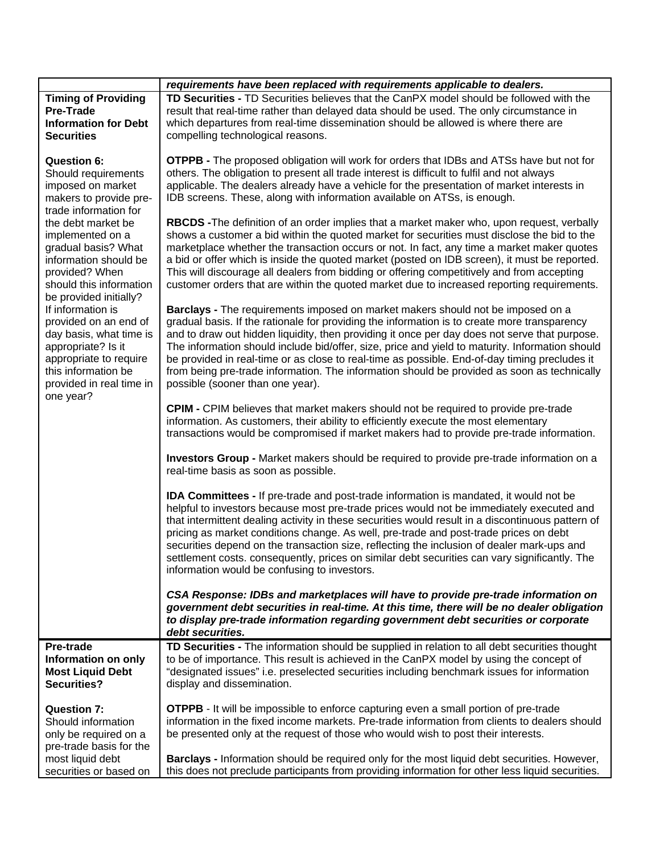|                                                                                                                                                                                        | requirements have been replaced with requirements applicable to dealers.                                                                                                                                                                                                                                                                                                                                                                                                                                                                                                                                                              |
|----------------------------------------------------------------------------------------------------------------------------------------------------------------------------------------|---------------------------------------------------------------------------------------------------------------------------------------------------------------------------------------------------------------------------------------------------------------------------------------------------------------------------------------------------------------------------------------------------------------------------------------------------------------------------------------------------------------------------------------------------------------------------------------------------------------------------------------|
| <b>Timing of Providing</b><br><b>Pre-Trade</b><br><b>Information for Debt</b><br><b>Securities</b>                                                                                     | TD Securities - TD Securities believes that the CanPX model should be followed with the<br>result that real-time rather than delayed data should be used. The only circumstance in<br>which departures from real-time dissemination should be allowed is where there are<br>compelling technological reasons.                                                                                                                                                                                                                                                                                                                         |
| <b>Question 6:</b><br>Should requirements<br>imposed on market<br>makers to provide pre-                                                                                               | <b>OTPPB -</b> The proposed obligation will work for orders that IDBs and ATSs have but not for<br>others. The obligation to present all trade interest is difficult to fulfil and not always<br>applicable. The dealers already have a vehicle for the presentation of market interests in<br>IDB screens. These, along with information available on ATSs, is enough.                                                                                                                                                                                                                                                               |
| trade information for<br>the debt market be<br>implemented on a<br>gradual basis? What<br>information should be<br>provided? When<br>should this information<br>be provided initially? | RBCDS - The definition of an order implies that a market maker who, upon request, verbally<br>shows a customer a bid within the quoted market for securities must disclose the bid to the<br>marketplace whether the transaction occurs or not. In fact, any time a market maker quotes<br>a bid or offer which is inside the quoted market (posted on IDB screen), it must be reported.<br>This will discourage all dealers from bidding or offering competitively and from accepting<br>customer orders that are within the quoted market due to increased reporting requirements.                                                  |
| If information is<br>provided on an end of<br>day basis, what time is<br>appropriate? Is it<br>appropriate to require<br>this information be<br>provided in real time in<br>one year?  | Barclays - The requirements imposed on market makers should not be imposed on a<br>gradual basis. If the rationale for providing the information is to create more transparency<br>and to draw out hidden liquidity, then providing it once per day does not serve that purpose.<br>The information should include bid/offer, size, price and yield to maturity. Information should<br>be provided in real-time or as close to real-time as possible. End-of-day timing precludes it<br>from being pre-trade information. The information should be provided as soon as technically<br>possible (sooner than one year).               |
|                                                                                                                                                                                        | <b>CPIM - CPIM believes that market makers should not be required to provide pre-trade</b><br>information. As customers, their ability to efficiently execute the most elementary<br>transactions would be compromised if market makers had to provide pre-trade information.                                                                                                                                                                                                                                                                                                                                                         |
|                                                                                                                                                                                        | Investors Group - Market makers should be required to provide pre-trade information on a<br>real-time basis as soon as possible.                                                                                                                                                                                                                                                                                                                                                                                                                                                                                                      |
|                                                                                                                                                                                        | <b>IDA Committees - If pre-trade and post-trade information is mandated, it would not be</b><br>helpful to investors because most pre-trade prices would not be immediately executed and<br>that intermittent dealing activity in these securities would result in a discontinuous pattern of<br>pricing as market conditions change. As well, pre-trade and post-trade prices on debt<br>securities depend on the transaction size, reflecting the inclusion of dealer mark-ups and<br>settlement costs. consequently, prices on similar debt securities can vary significantly. The<br>information would be confusing to investors. |
|                                                                                                                                                                                        | CSA Response: IDBs and marketplaces will have to provide pre-trade information on<br>government debt securities in real-time. At this time, there will be no dealer obligation<br>to display pre-trade information regarding government debt securities or corporate<br>debt securities.                                                                                                                                                                                                                                                                                                                                              |
| Pre-trade                                                                                                                                                                              | TD Securities - The information should be supplied in relation to all debt securities thought                                                                                                                                                                                                                                                                                                                                                                                                                                                                                                                                         |
| Information on only                                                                                                                                                                    | to be of importance. This result is achieved in the CanPX model by using the concept of                                                                                                                                                                                                                                                                                                                                                                                                                                                                                                                                               |
| <b>Most Liquid Debt</b><br><b>Securities?</b>                                                                                                                                          | "designated issues" i.e. preselected securities including benchmark issues for information<br>display and dissemination.                                                                                                                                                                                                                                                                                                                                                                                                                                                                                                              |
| <b>Question 7:</b>                                                                                                                                                                     | <b>OTPPB</b> - It will be impossible to enforce capturing even a small portion of pre-trade                                                                                                                                                                                                                                                                                                                                                                                                                                                                                                                                           |
| Should information                                                                                                                                                                     | information in the fixed income markets. Pre-trade information from clients to dealers should                                                                                                                                                                                                                                                                                                                                                                                                                                                                                                                                         |
| only be required on a                                                                                                                                                                  | be presented only at the request of those who would wish to post their interests.                                                                                                                                                                                                                                                                                                                                                                                                                                                                                                                                                     |
| pre-trade basis for the                                                                                                                                                                |                                                                                                                                                                                                                                                                                                                                                                                                                                                                                                                                                                                                                                       |
| most liquid debt                                                                                                                                                                       | Barclays - Information should be required only for the most liquid debt securities. However,                                                                                                                                                                                                                                                                                                                                                                                                                                                                                                                                          |
| securities or based on                                                                                                                                                                 | this does not preclude participants from providing information for other less liquid securities.                                                                                                                                                                                                                                                                                                                                                                                                                                                                                                                                      |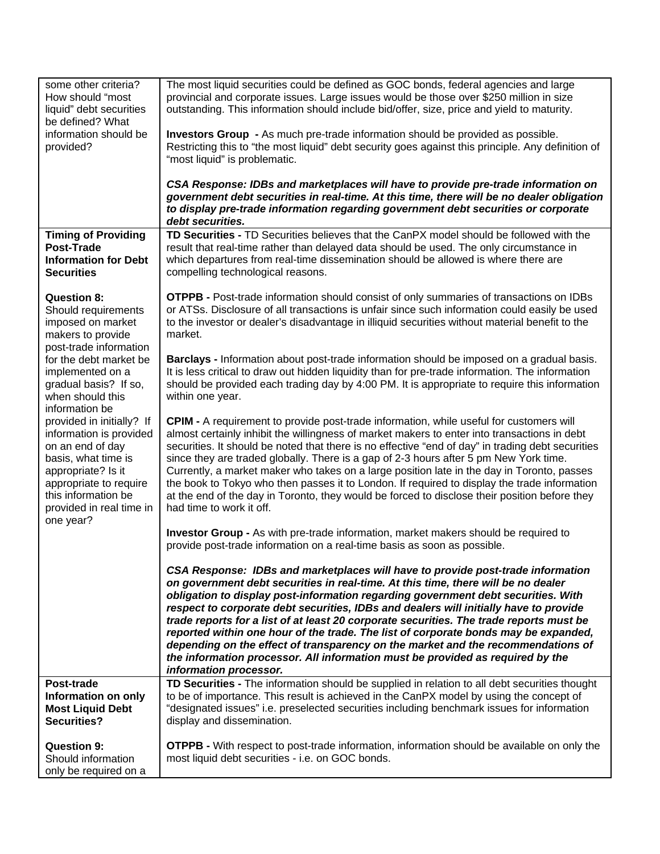| some other criteria?<br>How should "most<br>liquid" debt securities<br>be defined? What<br>information should be<br>provided?                                                                                   | The most liquid securities could be defined as GOC bonds, federal agencies and large<br>provincial and corporate issues. Large issues would be those over \$250 million in size<br>outstanding. This information should include bid/offer, size, price and yield to maturity.<br><b>Investors Group</b> - As much pre-trade information should be provided as possible.<br>Restricting this to "the most liquid" debt security goes against this principle. Any definition of<br>"most liquid" is problematic.<br>CSA Response: IDBs and marketplaces will have to provide pre-trade information on<br>government debt securities in real-time. At this time, there will be no dealer obligation<br>to display pre-trade information regarding government debt securities or corporate<br>debt securities. |
|-----------------------------------------------------------------------------------------------------------------------------------------------------------------------------------------------------------------|------------------------------------------------------------------------------------------------------------------------------------------------------------------------------------------------------------------------------------------------------------------------------------------------------------------------------------------------------------------------------------------------------------------------------------------------------------------------------------------------------------------------------------------------------------------------------------------------------------------------------------------------------------------------------------------------------------------------------------------------------------------------------------------------------------|
| <b>Timing of Providing</b>                                                                                                                                                                                      | TD Securities - TD Securities believes that the CanPX model should be followed with the                                                                                                                                                                                                                                                                                                                                                                                                                                                                                                                                                                                                                                                                                                                    |
| <b>Post-Trade</b><br><b>Information for Debt</b>                                                                                                                                                                | result that real-time rather than delayed data should be used. The only circumstance in<br>which departures from real-time dissemination should be allowed is where there are                                                                                                                                                                                                                                                                                                                                                                                                                                                                                                                                                                                                                              |
| <b>Securities</b>                                                                                                                                                                                               | compelling technological reasons.                                                                                                                                                                                                                                                                                                                                                                                                                                                                                                                                                                                                                                                                                                                                                                          |
| <b>Question 8:</b><br>Should requirements<br>imposed on market<br>makers to provide<br>post-trade information                                                                                                   | <b>OTPPB - Post-trade information should consist of only summaries of transactions on IDBs</b><br>or ATSs. Disclosure of all transactions is unfair since such information could easily be used<br>to the investor or dealer's disadvantage in illiquid securities without material benefit to the<br>market.                                                                                                                                                                                                                                                                                                                                                                                                                                                                                              |
| for the debt market be<br>implemented on a<br>gradual basis? If so,<br>when should this<br>information be                                                                                                       | Barclays - Information about post-trade information should be imposed on a gradual basis.<br>It is less critical to draw out hidden liquidity than for pre-trade information. The information<br>should be provided each trading day by 4:00 PM. It is appropriate to require this information<br>within one year.                                                                                                                                                                                                                                                                                                                                                                                                                                                                                         |
| provided in initially? If<br>information is provided<br>on an end of day<br>basis, what time is<br>appropriate? Is it<br>appropriate to require<br>this information be<br>provided in real time in<br>one year? | <b>CPIM -</b> A requirement to provide post-trade information, while useful for customers will<br>almost certainly inhibit the willingness of market makers to enter into transactions in debt<br>securities. It should be noted that there is no effective "end of day" in trading debt securities<br>since they are traded globally. There is a gap of 2-3 hours after 5 pm New York time.<br>Currently, a market maker who takes on a large position late in the day in Toronto, passes<br>the book to Tokyo who then passes it to London. If required to display the trade information<br>at the end of the day in Toronto, they would be forced to disclose their position before they<br>had time to work it off.                                                                                    |
|                                                                                                                                                                                                                 | <b>Investor Group - As with pre-trade information, market makers should be required to</b><br>provide post-trade information on a real-time basis as soon as possible.                                                                                                                                                                                                                                                                                                                                                                                                                                                                                                                                                                                                                                     |
|                                                                                                                                                                                                                 | CSA Response: IDBs and marketplaces will have to provide post-trade information<br>on government debt securities in real-time. At this time, there will be no dealer<br>obligation to display post-information regarding government debt securities. With<br>respect to corporate debt securities, IDBs and dealers will initially have to provide<br>trade reports for a list of at least 20 corporate securities. The trade reports must be<br>reported within one hour of the trade. The list of corporate bonds may be expanded,<br>depending on the effect of transparency on the market and the recommendations of<br>the information processor. All information must be provided as required by the<br>information processor.                                                                       |
| Post-trade                                                                                                                                                                                                      | TD Securities - The information should be supplied in relation to all debt securities thought                                                                                                                                                                                                                                                                                                                                                                                                                                                                                                                                                                                                                                                                                                              |
| Information on only<br><b>Most Liquid Debt</b><br><b>Securities?</b>                                                                                                                                            | to be of importance. This result is achieved in the CanPX model by using the concept of<br>"designated issues" i.e. preselected securities including benchmark issues for information<br>display and dissemination.                                                                                                                                                                                                                                                                                                                                                                                                                                                                                                                                                                                        |
| <b>Question 9:</b><br>Should information<br>only be required on a                                                                                                                                               | <b>OTPPB</b> - With respect to post-trade information, information should be available on only the<br>most liquid debt securities - i.e. on GOC bonds.                                                                                                                                                                                                                                                                                                                                                                                                                                                                                                                                                                                                                                                     |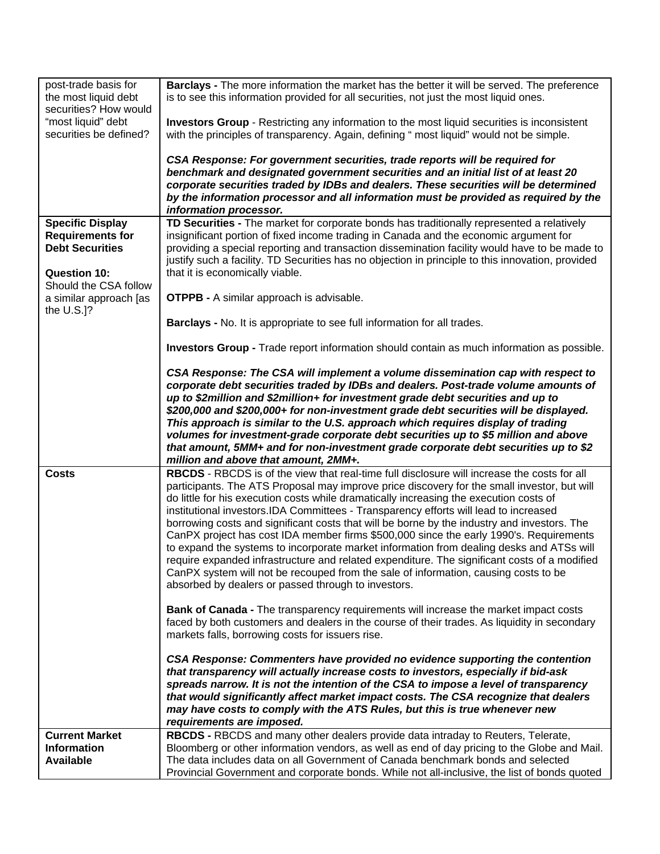| post-trade basis for<br>the most liquid debt<br>securities? How would | Barclays - The more information the market has the better it will be served. The preference<br>is to see this information provided for all securities, not just the most liquid ones.          |
|-----------------------------------------------------------------------|------------------------------------------------------------------------------------------------------------------------------------------------------------------------------------------------|
| "most liquid" debt<br>securities be defined?                          | <b>Investors Group</b> - Restricting any information to the most liquid securities is inconsistent<br>with the principles of transparency. Again, defining " most liquid" would not be simple. |
|                                                                       | CSA Response: For government securities, trade reports will be required for<br>benchmark and designated government securities and an initial list of at least 20                               |
|                                                                       | corporate securities traded by IDBs and dealers. These securities will be determined                                                                                                           |
|                                                                       | by the information processor and all information must be provided as required by the<br>information processor.                                                                                 |
| <b>Specific Display</b>                                               | TD Securities - The market for corporate bonds has traditionally represented a relatively                                                                                                      |
| <b>Requirements for</b><br><b>Debt Securities</b>                     | insignificant portion of fixed income trading in Canada and the economic argument for<br>providing a special reporting and transaction dissemination facility would have to be made to         |
|                                                                       | justify such a facility. TD Securities has no objection in principle to this innovation, provided                                                                                              |
| <b>Question 10:</b>                                                   | that it is economically viable.                                                                                                                                                                |
| Should the CSA follow<br>a similar approach [as                       | <b>OTPPB -</b> A similar approach is advisable.                                                                                                                                                |
| the $U.S.]$ ?                                                         |                                                                                                                                                                                                |
|                                                                       | Barclays - No. It is appropriate to see full information for all trades.                                                                                                                       |
|                                                                       | Investors Group - Trade report information should contain as much information as possible.                                                                                                     |
|                                                                       | CSA Response: The CSA will implement a volume dissemination cap with respect to                                                                                                                |
|                                                                       | corporate debt securities traded by IDBs and dealers. Post-trade volume amounts of<br>up to \$2million and \$2million+ for investment grade debt securities and up to                          |
|                                                                       |                                                                                                                                                                                                |
|                                                                       | \$200,000 and \$200,000+ for non-investment grade debt securities will be displayed.                                                                                                           |
|                                                                       | This approach is similar to the U.S. approach which requires display of trading                                                                                                                |
|                                                                       | volumes for investment-grade corporate debt securities up to \$5 million and above                                                                                                             |
|                                                                       | that amount, 5MM+ and for non-investment grade corporate debt securities up to \$2<br>million and above that amount, 2MM+.                                                                     |
| <b>Costs</b>                                                          | RBCDS - RBCDS is of the view that real-time full disclosure will increase the costs for all                                                                                                    |
|                                                                       | participants. The ATS Proposal may improve price discovery for the small investor, but will                                                                                                    |
|                                                                       | do little for his execution costs while dramatically increasing the execution costs of<br>institutional investors.IDA Committees - Transparency efforts will lead to increased                 |
|                                                                       | borrowing costs and significant costs that will be borne by the industry and investors. The                                                                                                    |
|                                                                       | CanPX project has cost IDA member firms \$500,000 since the early 1990's. Requirements                                                                                                         |
|                                                                       | to expand the systems to incorporate market information from dealing desks and ATSs will<br>require expanded infrastructure and related expenditure. The significant costs of a modified       |
|                                                                       | CanPX system will not be recouped from the sale of information, causing costs to be                                                                                                            |
|                                                                       | absorbed by dealers or passed through to investors.                                                                                                                                            |
|                                                                       | <b>Bank of Canada - The transparency requirements will increase the market impact costs</b>                                                                                                    |
|                                                                       | faced by both customers and dealers in the course of their trades. As liquidity in secondary<br>markets falls, borrowing costs for issuers rise.                                               |
|                                                                       |                                                                                                                                                                                                |
|                                                                       | CSA Response: Commenters have provided no evidence supporting the contention<br>that transparency will actually increase costs to investors, especially if bid-ask                             |
|                                                                       | spreads narrow. It is not the intention of the CSA to impose a level of transparency                                                                                                           |
|                                                                       | that would significantly affect market impact costs. The CSA recognize that dealers<br>may have costs to comply with the ATS Rules, but this is true whenever new                              |
|                                                                       | requirements are imposed.                                                                                                                                                                      |
| <b>Current Market</b>                                                 | RBCDS - RBCDS and many other dealers provide data intraday to Reuters, Telerate,                                                                                                               |
| <b>Information</b><br><b>Available</b>                                | Bloomberg or other information vendors, as well as end of day pricing to the Globe and Mail.<br>The data includes data on all Government of Canada benchmark bonds and selected                |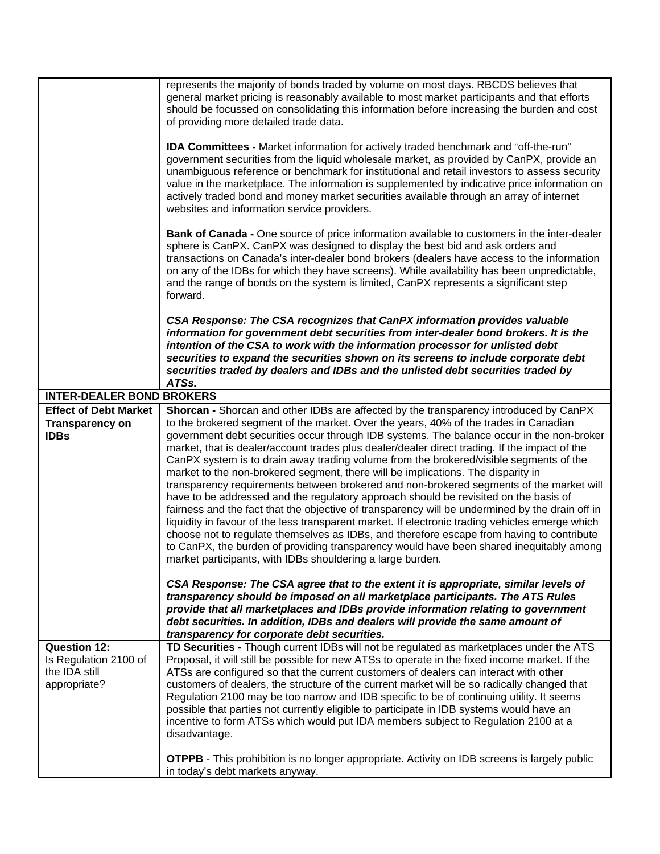|                                                                               | represents the majority of bonds traded by volume on most days. RBCDS believes that<br>general market pricing is reasonably available to most market participants and that efforts<br>should be focussed on consolidating this information before increasing the burden and cost<br>of providing more detailed trade data.                                                                                                                                                                                                                                                                                                                                                                                                                                                                                                                                                                                                                                                                                                                                                                                      |
|-------------------------------------------------------------------------------|-----------------------------------------------------------------------------------------------------------------------------------------------------------------------------------------------------------------------------------------------------------------------------------------------------------------------------------------------------------------------------------------------------------------------------------------------------------------------------------------------------------------------------------------------------------------------------------------------------------------------------------------------------------------------------------------------------------------------------------------------------------------------------------------------------------------------------------------------------------------------------------------------------------------------------------------------------------------------------------------------------------------------------------------------------------------------------------------------------------------|
|                                                                               | IDA Committees - Market information for actively traded benchmark and "off-the-run"<br>government securities from the liquid wholesale market, as provided by CanPX, provide an<br>unambiguous reference or benchmark for institutional and retail investors to assess security<br>value in the marketplace. The information is supplemented by indicative price information on<br>actively traded bond and money market securities available through an array of internet<br>websites and information service providers.                                                                                                                                                                                                                                                                                                                                                                                                                                                                                                                                                                                       |
|                                                                               | <b>Bank of Canada - One source of price information available to customers in the inter-dealer</b><br>sphere is CanPX. CanPX was designed to display the best bid and ask orders and<br>transactions on Canada's inter-dealer bond brokers (dealers have access to the information<br>on any of the IDBs for which they have screens). While availability has been unpredictable,<br>and the range of bonds on the system is limited, CanPX represents a significant step<br>forward.                                                                                                                                                                                                                                                                                                                                                                                                                                                                                                                                                                                                                           |
|                                                                               | CSA Response: The CSA recognizes that CanPX information provides valuable<br>information for government debt securities from inter-dealer bond brokers. It is the<br>intention of the CSA to work with the information processor for unlisted debt<br>securities to expand the securities shown on its screens to include corporate debt<br>securities traded by dealers and IDBs and the unlisted debt securities traded by<br>ATSs.                                                                                                                                                                                                                                                                                                                                                                                                                                                                                                                                                                                                                                                                           |
| <b>INTER-DEALER BOND BROKERS</b>                                              |                                                                                                                                                                                                                                                                                                                                                                                                                                                                                                                                                                                                                                                                                                                                                                                                                                                                                                                                                                                                                                                                                                                 |
| <b>Effect of Debt Market</b>                                                  | Shorcan - Shorcan and other IDBs are affected by the transparency introduced by CanPX                                                                                                                                                                                                                                                                                                                                                                                                                                                                                                                                                                                                                                                                                                                                                                                                                                                                                                                                                                                                                           |
| <b>Transparency on</b><br><b>IDBs</b>                                         | to the brokered segment of the market. Over the years, 40% of the trades in Canadian<br>government debt securities occur through IDB systems. The balance occur in the non-broker<br>market, that is dealer/account trades plus dealer/dealer direct trading. If the impact of the<br>CanPX system is to drain away trading volume from the brokered/visible segments of the<br>market to the non-brokered segment, there will be implications. The disparity in<br>transparency requirements between brokered and non-brokered segments of the market will<br>have to be addressed and the regulatory approach should be revisited on the basis of<br>fairness and the fact that the objective of transparency will be undermined by the drain off in<br>liquidity in favour of the less transparent market. If electronic trading vehicles emerge which<br>choose not to regulate themselves as IDBs, and therefore escape from having to contribute<br>to CanPX, the burden of providing transparency would have been shared inequitably among<br>market participants, with IDBs shouldering a large burden. |
|                                                                               | CSA Response: The CSA agree that to the extent it is appropriate, similar levels of<br>transparency should be imposed on all marketplace participants. The ATS Rules<br>provide that all marketplaces and IDBs provide information relating to government<br>debt securities. In addition, IDBs and dealers will provide the same amount of<br>transparency for corporate debt securities.                                                                                                                                                                                                                                                                                                                                                                                                                                                                                                                                                                                                                                                                                                                      |
| <b>Question 12:</b><br>Is Regulation 2100 of<br>the IDA still<br>appropriate? | TD Securities - Though current IDBs will not be regulated as marketplaces under the ATS<br>Proposal, it will still be possible for new ATSs to operate in the fixed income market. If the<br>ATSs are configured so that the current customers of dealers can interact with other<br>customers of dealers, the structure of the current market will be so radically changed that<br>Regulation 2100 may be too narrow and IDB specific to be of continuing utility. It seems<br>possible that parties not currently eligible to participate in IDB systems would have an<br>incentive to form ATSs which would put IDA members subject to Regulation 2100 at a<br>disadvantage.                                                                                                                                                                                                                                                                                                                                                                                                                                 |
|                                                                               | <b>OTPPB</b> - This prohibition is no longer appropriate. Activity on IDB screens is largely public<br>in today's debt markets anyway.                                                                                                                                                                                                                                                                                                                                                                                                                                                                                                                                                                                                                                                                                                                                                                                                                                                                                                                                                                          |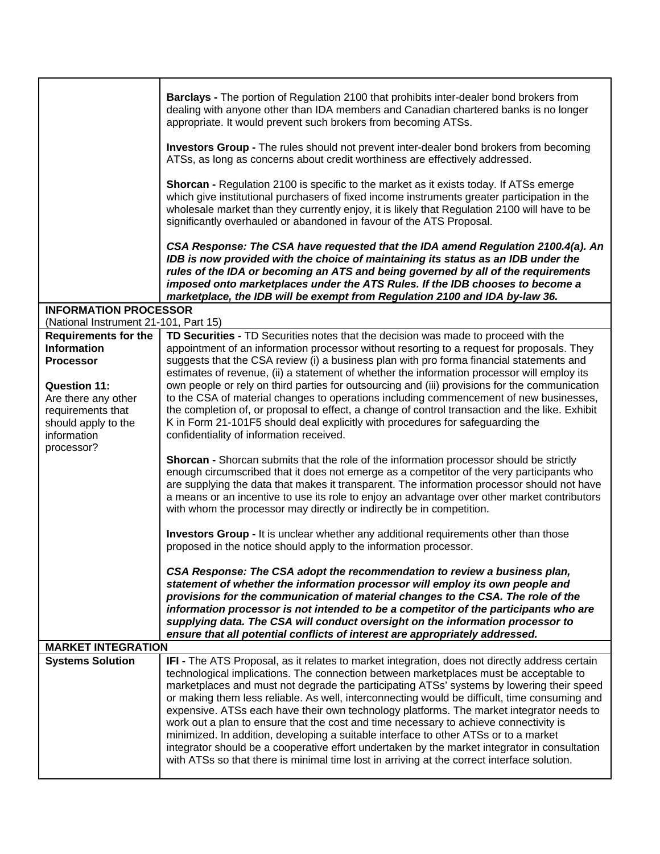|                                                   | <b>Barclays</b> - The portion of Regulation 2100 that prohibits inter-dealer bond brokers from<br>dealing with anyone other than IDA members and Canadian chartered banks is no longer<br>appropriate. It would prevent such brokers from becoming ATSs.                                                                                                                                                                                                                                                                                                                                                                                                                                                                                                                                                                                                           |
|---------------------------------------------------|--------------------------------------------------------------------------------------------------------------------------------------------------------------------------------------------------------------------------------------------------------------------------------------------------------------------------------------------------------------------------------------------------------------------------------------------------------------------------------------------------------------------------------------------------------------------------------------------------------------------------------------------------------------------------------------------------------------------------------------------------------------------------------------------------------------------------------------------------------------------|
|                                                   | <b>Investors Group - The rules should not prevent inter-dealer bond brokers from becoming</b><br>ATSs, as long as concerns about credit worthiness are effectively addressed.                                                                                                                                                                                                                                                                                                                                                                                                                                                                                                                                                                                                                                                                                      |
|                                                   | <b>Shorcan - Regulation 2100 is specific to the market as it exists today. If ATSs emerge</b><br>which give institutional purchasers of fixed income instruments greater participation in the<br>wholesale market than they currently enjoy, it is likely that Regulation 2100 will have to be<br>significantly overhauled or abandoned in favour of the ATS Proposal.                                                                                                                                                                                                                                                                                                                                                                                                                                                                                             |
|                                                   | CSA Response: The CSA have requested that the IDA amend Regulation 2100.4(a). An<br>IDB is now provided with the choice of maintaining its status as an IDB under the<br>rules of the IDA or becoming an ATS and being governed by all of the requirements<br>imposed onto marketplaces under the ATS Rules. If the IDB chooses to become a<br>marketplace, the IDB will be exempt from Regulation 2100 and IDA by-law 36.                                                                                                                                                                                                                                                                                                                                                                                                                                         |
| <b>INFORMATION PROCESSOR</b>                      |                                                                                                                                                                                                                                                                                                                                                                                                                                                                                                                                                                                                                                                                                                                                                                                                                                                                    |
| (National Instrument 21-101, Part 15)             |                                                                                                                                                                                                                                                                                                                                                                                                                                                                                                                                                                                                                                                                                                                                                                                                                                                                    |
| <b>Requirements for the</b><br><b>Information</b> | TD Securities - TD Securities notes that the decision was made to proceed with the<br>appointment of an information processor without resorting to a request for proposals. They                                                                                                                                                                                                                                                                                                                                                                                                                                                                                                                                                                                                                                                                                   |
| <b>Processor</b>                                  | suggests that the CSA review (i) a business plan with pro forma financial statements and                                                                                                                                                                                                                                                                                                                                                                                                                                                                                                                                                                                                                                                                                                                                                                           |
|                                                   | estimates of revenue, (ii) a statement of whether the information processor will employ its                                                                                                                                                                                                                                                                                                                                                                                                                                                                                                                                                                                                                                                                                                                                                                        |
| <b>Question 11:</b>                               | own people or rely on third parties for outsourcing and (iii) provisions for the communication                                                                                                                                                                                                                                                                                                                                                                                                                                                                                                                                                                                                                                                                                                                                                                     |
| Are there any other                               | to the CSA of material changes to operations including commencement of new businesses,                                                                                                                                                                                                                                                                                                                                                                                                                                                                                                                                                                                                                                                                                                                                                                             |
| requirements that<br>should apply to the          | the completion of, or proposal to effect, a change of control transaction and the like. Exhibit<br>K in Form 21-101F5 should deal explicitly with procedures for safeguarding the                                                                                                                                                                                                                                                                                                                                                                                                                                                                                                                                                                                                                                                                                  |
| information                                       | confidentiality of information received.                                                                                                                                                                                                                                                                                                                                                                                                                                                                                                                                                                                                                                                                                                                                                                                                                           |
| processor?                                        |                                                                                                                                                                                                                                                                                                                                                                                                                                                                                                                                                                                                                                                                                                                                                                                                                                                                    |
|                                                   | Shorcan - Shorcan submits that the role of the information processor should be strictly                                                                                                                                                                                                                                                                                                                                                                                                                                                                                                                                                                                                                                                                                                                                                                            |
|                                                   | enough circumscribed that it does not emerge as a competitor of the very participants who                                                                                                                                                                                                                                                                                                                                                                                                                                                                                                                                                                                                                                                                                                                                                                          |
|                                                   | are supplying the data that makes it transparent. The information processor should not have                                                                                                                                                                                                                                                                                                                                                                                                                                                                                                                                                                                                                                                                                                                                                                        |
|                                                   | a means or an incentive to use its role to enjoy an advantage over other market contributors<br>with whom the processor may directly or indirectly be in competition.                                                                                                                                                                                                                                                                                                                                                                                                                                                                                                                                                                                                                                                                                              |
|                                                   |                                                                                                                                                                                                                                                                                                                                                                                                                                                                                                                                                                                                                                                                                                                                                                                                                                                                    |
|                                                   | <b>Investors Group - It is unclear whether any additional requirements other than those</b>                                                                                                                                                                                                                                                                                                                                                                                                                                                                                                                                                                                                                                                                                                                                                                        |
|                                                   | proposed in the notice should apply to the information processor.                                                                                                                                                                                                                                                                                                                                                                                                                                                                                                                                                                                                                                                                                                                                                                                                  |
|                                                   | CSA Response: The CSA adopt the recommendation to review a business plan,<br>statement of whether the information processor will employ its own people and<br>provisions for the communication of material changes to the CSA. The role of the<br>information processor is not intended to be a competitor of the participants who are<br>supplying data. The CSA will conduct oversight on the information processor to<br>ensure that all potential conflicts of interest are appropriately addressed.                                                                                                                                                                                                                                                                                                                                                           |
| <b>MARKET INTEGRATION</b>                         |                                                                                                                                                                                                                                                                                                                                                                                                                                                                                                                                                                                                                                                                                                                                                                                                                                                                    |
| <b>Systems Solution</b>                           | IFI - The ATS Proposal, as it relates to market integration, does not directly address certain<br>technological implications. The connection between marketplaces must be acceptable to<br>marketplaces and must not degrade the participating ATSs' systems by lowering their speed<br>or making them less reliable. As well, interconnecting would be difficult, time consuming and<br>expensive. ATSs each have their own technology platforms. The market integrator needs to<br>work out a plan to ensure that the cost and time necessary to achieve connectivity is<br>minimized. In addition, developing a suitable interface to other ATSs or to a market<br>integrator should be a cooperative effort undertaken by the market integrator in consultation<br>with ATSs so that there is minimal time lost in arriving at the correct interface solution. |
|                                                   |                                                                                                                                                                                                                                                                                                                                                                                                                                                                                                                                                                                                                                                                                                                                                                                                                                                                    |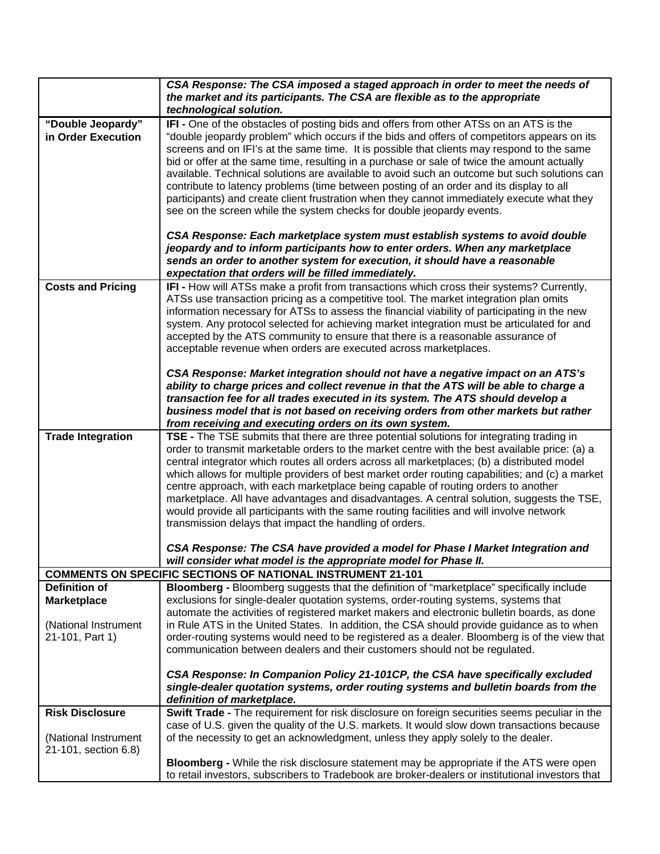|                                              | CSA Response: The CSA imposed a staged approach in order to meet the needs of<br>the market and its participants. The CSA are flexible as to the appropriate<br>technological solution.                                                                                                                                                                                                                                                                                                                                                                                                                                                                                                                                                              |
|----------------------------------------------|------------------------------------------------------------------------------------------------------------------------------------------------------------------------------------------------------------------------------------------------------------------------------------------------------------------------------------------------------------------------------------------------------------------------------------------------------------------------------------------------------------------------------------------------------------------------------------------------------------------------------------------------------------------------------------------------------------------------------------------------------|
| "Double Jeopardy"<br>in Order Execution      | IFI - One of the obstacles of posting bids and offers from other ATSs on an ATS is the<br>"double jeopardy problem" which occurs if the bids and offers of competitors appears on its<br>screens and on IFI's at the same time. It is possible that clients may respond to the same<br>bid or offer at the same time, resulting in a purchase or sale of twice the amount actually<br>available. Technical solutions are available to avoid such an outcome but such solutions can<br>contribute to latency problems (time between posting of an order and its display to all<br>participants) and create client frustration when they cannot immediately execute what they<br>see on the screen while the system checks for double jeopardy events. |
|                                              | CSA Response: Each marketplace system must establish systems to avoid double<br>jeopardy and to inform participants how to enter orders. When any marketplace<br>sends an order to another system for execution, it should have a reasonable<br>expectation that orders will be filled immediately.                                                                                                                                                                                                                                                                                                                                                                                                                                                  |
| <b>Costs and Pricing</b>                     | IFI - How will ATSs make a profit from transactions which cross their systems? Currently,<br>ATSs use transaction pricing as a competitive tool. The market integration plan omits<br>information necessary for ATSs to assess the financial viability of participating in the new<br>system. Any protocol selected for achieving market integration must be articulated for and<br>accepted by the ATS community to ensure that there is a reasonable assurance of<br>acceptable revenue when orders are executed across marketplaces.                                                                                                                                                                                                              |
|                                              | CSA Response: Market integration should not have a negative impact on an ATS's<br>ability to charge prices and collect revenue in that the ATS will be able to charge a<br>transaction fee for all trades executed in its system. The ATS should develop a<br>business model that is not based on receiving orders from other markets but rather<br>from receiving and executing orders on its own system.                                                                                                                                                                                                                                                                                                                                           |
| <b>Trade Integration</b>                     | TSE - The TSE submits that there are three potential solutions for integrating trading in<br>order to transmit marketable orders to the market centre with the best available price: (a) a<br>central integrator which routes all orders across all marketplaces; (b) a distributed model<br>which allows for multiple providers of best market order routing capabilities; and (c) a market<br>centre approach, with each marketplace being capable of routing orders to another<br>marketplace. All have advantages and disadvantages. A central solution, suggests the TSE,<br>would provide all participants with the same routing facilities and will involve network<br>transmission delays that impact the handling of orders.                |
|                                              | CSA Response: The CSA have provided a model for Phase I Market Integration and<br>will consider what model is the appropriate model for Phase II.                                                                                                                                                                                                                                                                                                                                                                                                                                                                                                                                                                                                    |
|                                              | <b>COMMENTS ON SPECIFIC SECTIONS OF NATIONAL INSTRUMENT 21-101</b>                                                                                                                                                                                                                                                                                                                                                                                                                                                                                                                                                                                                                                                                                   |
| Definition of<br><b>Marketplace</b>          | Bloomberg - Bloomberg suggests that the definition of "marketplace" specifically include<br>exclusions for single-dealer quotation systems, order-routing systems, systems that<br>automate the activities of registered market makers and electronic bulletin boards, as done                                                                                                                                                                                                                                                                                                                                                                                                                                                                       |
| (National Instrument<br>21-101, Part 1)      | in Rule ATS in the United States. In addition, the CSA should provide guidance as to when<br>order-routing systems would need to be registered as a dealer. Bloomberg is of the view that<br>communication between dealers and their customers should not be regulated.                                                                                                                                                                                                                                                                                                                                                                                                                                                                              |
|                                              | CSA Response: In Companion Policy 21-101CP, the CSA have specifically excluded<br>single-dealer quotation systems, order routing systems and bulletin boards from the<br>definition of marketplace.                                                                                                                                                                                                                                                                                                                                                                                                                                                                                                                                                  |
| <b>Risk Disclosure</b>                       | Swift Trade - The requirement for risk disclosure on foreign securities seems peculiar in the                                                                                                                                                                                                                                                                                                                                                                                                                                                                                                                                                                                                                                                        |
| (National Instrument<br>21-101, section 6.8) | case of U.S. given the quality of the U.S. markets. It would slow down transactions because<br>of the necessity to get an acknowledgment, unless they apply solely to the dealer.                                                                                                                                                                                                                                                                                                                                                                                                                                                                                                                                                                    |
|                                              | Bloomberg - While the risk disclosure statement may be appropriate if the ATS were open<br>to retail investors, subscribers to Tradebook are broker-dealers or institutional investors that                                                                                                                                                                                                                                                                                                                                                                                                                                                                                                                                                          |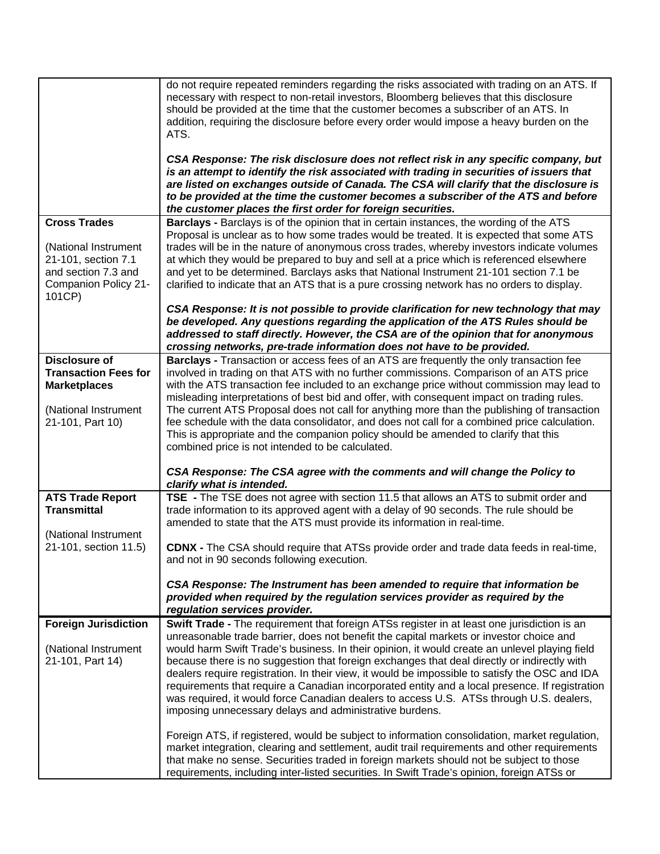|                                             | do not require repeated reminders regarding the risks associated with trading on an ATS. If<br>necessary with respect to non-retail investors, Bloomberg believes that this disclosure<br>should be provided at the time that the customer becomes a subscriber of an ATS. In<br>addition, requiring the disclosure before every order would impose a heavy burden on the<br>ATS.<br>CSA Response: The risk disclosure does not reflect risk in any specific company, but<br>is an attempt to identify the risk associated with trading in securities of issuers that<br>are listed on exchanges outside of Canada. The CSA will clarify that the disclosure is<br>to be provided at the time the customer becomes a subscriber of the ATS and before |
|---------------------------------------------|-------------------------------------------------------------------------------------------------------------------------------------------------------------------------------------------------------------------------------------------------------------------------------------------------------------------------------------------------------------------------------------------------------------------------------------------------------------------------------------------------------------------------------------------------------------------------------------------------------------------------------------------------------------------------------------------------------------------------------------------------------|
|                                             | the customer places the first order for foreign securities.                                                                                                                                                                                                                                                                                                                                                                                                                                                                                                                                                                                                                                                                                           |
| <b>Cross Trades</b>                         | <b>Barclays - Barclays is of the opinion that in certain instances, the wording of the ATS</b>                                                                                                                                                                                                                                                                                                                                                                                                                                                                                                                                                                                                                                                        |
|                                             | Proposal is unclear as to how some trades would be treated. It is expected that some ATS                                                                                                                                                                                                                                                                                                                                                                                                                                                                                                                                                                                                                                                              |
| (National Instrument<br>21-101, section 7.1 | trades will be in the nature of anonymous cross trades, whereby investors indicate volumes<br>at which they would be prepared to buy and sell at a price which is referenced elsewhere                                                                                                                                                                                                                                                                                                                                                                                                                                                                                                                                                                |
| and section 7.3 and                         | and yet to be determined. Barclays asks that National Instrument 21-101 section 7.1 be                                                                                                                                                                                                                                                                                                                                                                                                                                                                                                                                                                                                                                                                |
| Companion Policy 21-                        | clarified to indicate that an ATS that is a pure crossing network has no orders to display.                                                                                                                                                                                                                                                                                                                                                                                                                                                                                                                                                                                                                                                           |
| 101CP)                                      |                                                                                                                                                                                                                                                                                                                                                                                                                                                                                                                                                                                                                                                                                                                                                       |
|                                             | CSA Response: It is not possible to provide clarification for new technology that may                                                                                                                                                                                                                                                                                                                                                                                                                                                                                                                                                                                                                                                                 |
|                                             | be developed. Any questions regarding the application of the ATS Rules should be<br>addressed to staff directly. However, the CSA are of the opinion that for anonymous                                                                                                                                                                                                                                                                                                                                                                                                                                                                                                                                                                               |
|                                             | crossing networks, pre-trade information does not have to be provided.                                                                                                                                                                                                                                                                                                                                                                                                                                                                                                                                                                                                                                                                                |
| <b>Disclosure of</b>                        | Barclays - Transaction or access fees of an ATS are frequently the only transaction fee                                                                                                                                                                                                                                                                                                                                                                                                                                                                                                                                                                                                                                                               |
| <b>Transaction Fees for</b>                 | involved in trading on that ATS with no further commissions. Comparison of an ATS price                                                                                                                                                                                                                                                                                                                                                                                                                                                                                                                                                                                                                                                               |
| <b>Marketplaces</b>                         | with the ATS transaction fee included to an exchange price without commission may lead to<br>misleading interpretations of best bid and offer, with consequent impact on trading rules.                                                                                                                                                                                                                                                                                                                                                                                                                                                                                                                                                               |
| (National Instrument                        | The current ATS Proposal does not call for anything more than the publishing of transaction                                                                                                                                                                                                                                                                                                                                                                                                                                                                                                                                                                                                                                                           |
| 21-101, Part 10)                            | fee schedule with the data consolidator, and does not call for a combined price calculation.                                                                                                                                                                                                                                                                                                                                                                                                                                                                                                                                                                                                                                                          |
|                                             | This is appropriate and the companion policy should be amended to clarify that this                                                                                                                                                                                                                                                                                                                                                                                                                                                                                                                                                                                                                                                                   |
|                                             | combined price is not intended to be calculated.                                                                                                                                                                                                                                                                                                                                                                                                                                                                                                                                                                                                                                                                                                      |
|                                             | CSA Response: The CSA agree with the comments and will change the Policy to<br>clarify what is intended.                                                                                                                                                                                                                                                                                                                                                                                                                                                                                                                                                                                                                                              |
| <b>ATS Trade Report</b>                     | TSE - The TSE does not agree with section 11.5 that allows an ATS to submit order and                                                                                                                                                                                                                                                                                                                                                                                                                                                                                                                                                                                                                                                                 |
| <b>Transmittal</b>                          | trade information to its approved agent with a delay of 90 seconds. The rule should be<br>amended to state that the ATS must provide its information in real-time.                                                                                                                                                                                                                                                                                                                                                                                                                                                                                                                                                                                    |
| (National Instrument                        |                                                                                                                                                                                                                                                                                                                                                                                                                                                                                                                                                                                                                                                                                                                                                       |
| 21-101, section 11.5)                       | <b>CDNX -</b> The CSA should require that ATSs provide order and trade data feeds in real-time,<br>and not in 90 seconds following execution.                                                                                                                                                                                                                                                                                                                                                                                                                                                                                                                                                                                                         |
|                                             |                                                                                                                                                                                                                                                                                                                                                                                                                                                                                                                                                                                                                                                                                                                                                       |
|                                             | CSA Response: The Instrument has been amended to require that information be                                                                                                                                                                                                                                                                                                                                                                                                                                                                                                                                                                                                                                                                          |
|                                             | provided when required by the regulation services provider as required by the                                                                                                                                                                                                                                                                                                                                                                                                                                                                                                                                                                                                                                                                         |
| <b>Foreign Jurisdiction</b>                 | regulation services provider.<br>Swift Trade - The requirement that foreign ATSs register in at least one jurisdiction is an                                                                                                                                                                                                                                                                                                                                                                                                                                                                                                                                                                                                                          |
|                                             | unreasonable trade barrier, does not benefit the capital markets or investor choice and                                                                                                                                                                                                                                                                                                                                                                                                                                                                                                                                                                                                                                                               |
| (National Instrument                        | would harm Swift Trade's business. In their opinion, it would create an unlevel playing field                                                                                                                                                                                                                                                                                                                                                                                                                                                                                                                                                                                                                                                         |
| 21-101, Part 14)                            | because there is no suggestion that foreign exchanges that deal directly or indirectly with                                                                                                                                                                                                                                                                                                                                                                                                                                                                                                                                                                                                                                                           |
|                                             | dealers require registration. In their view, it would be impossible to satisfy the OSC and IDA<br>requirements that require a Canadian incorporated entity and a local presence. If registration                                                                                                                                                                                                                                                                                                                                                                                                                                                                                                                                                      |
|                                             | was required, it would force Canadian dealers to access U.S. ATSs through U.S. dealers,                                                                                                                                                                                                                                                                                                                                                                                                                                                                                                                                                                                                                                                               |
|                                             | imposing unnecessary delays and administrative burdens.                                                                                                                                                                                                                                                                                                                                                                                                                                                                                                                                                                                                                                                                                               |
|                                             | Foreign ATS, if registered, would be subject to information consolidation, market regulation,                                                                                                                                                                                                                                                                                                                                                                                                                                                                                                                                                                                                                                                         |
|                                             | market integration, clearing and settlement, audit trail requirements and other requirements                                                                                                                                                                                                                                                                                                                                                                                                                                                                                                                                                                                                                                                          |
|                                             | that make no sense. Securities traded in foreign markets should not be subject to those<br>requirements, including inter-listed securities. In Swift Trade's opinion, foreign ATSs or                                                                                                                                                                                                                                                                                                                                                                                                                                                                                                                                                                 |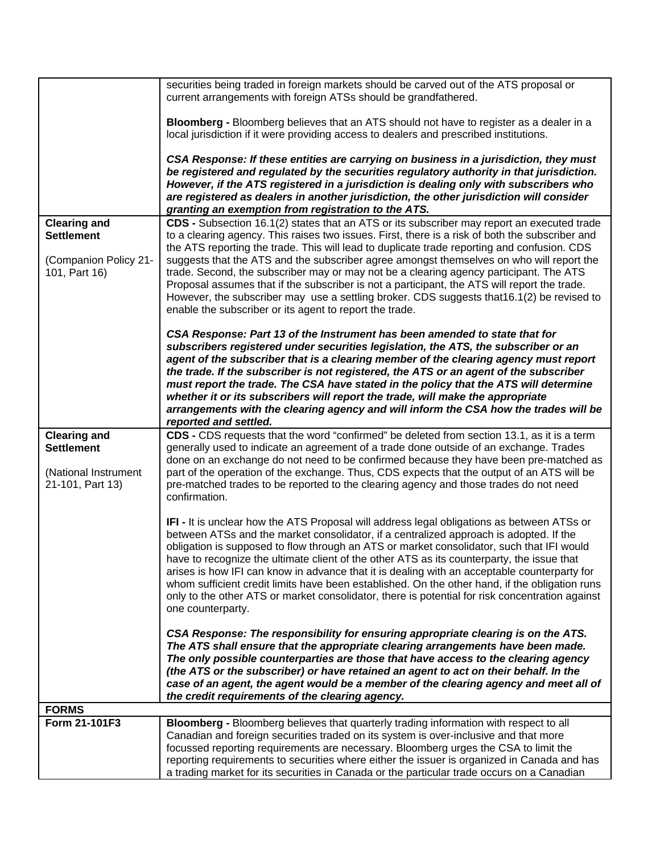|                                                                                      | securities being traded in foreign markets should be carved out of the ATS proposal or<br>current arrangements with foreign ATSs should be grandfathered.                                                                                                                                                                                                                                                                                                                                                                                                                                                                                                                                                 |
|--------------------------------------------------------------------------------------|-----------------------------------------------------------------------------------------------------------------------------------------------------------------------------------------------------------------------------------------------------------------------------------------------------------------------------------------------------------------------------------------------------------------------------------------------------------------------------------------------------------------------------------------------------------------------------------------------------------------------------------------------------------------------------------------------------------|
|                                                                                      | Bloomberg - Bloomberg believes that an ATS should not have to register as a dealer in a<br>local jurisdiction if it were providing access to dealers and prescribed institutions.                                                                                                                                                                                                                                                                                                                                                                                                                                                                                                                         |
|                                                                                      | CSA Response: If these entities are carrying on business in a jurisdiction, they must<br>be registered and regulated by the securities regulatory authority in that jurisdiction.<br>However, if the ATS registered in a jurisdiction is dealing only with subscribers who<br>are registered as dealers in another jurisdiction, the other jurisdiction will consider<br>granting an exemption from registration to the ATS.                                                                                                                                                                                                                                                                              |
| <b>Clearing and</b>                                                                  | CDS - Subsection 16.1(2) states that an ATS or its subscriber may report an executed trade                                                                                                                                                                                                                                                                                                                                                                                                                                                                                                                                                                                                                |
| <b>Settlement</b>                                                                    | to a clearing agency. This raises two issues. First, there is a risk of both the subscriber and<br>the ATS reporting the trade. This will lead to duplicate trade reporting and confusion. CDS                                                                                                                                                                                                                                                                                                                                                                                                                                                                                                            |
| (Companion Policy 21-<br>101, Part 16)                                               | suggests that the ATS and the subscriber agree amongst themselves on who will report the<br>trade. Second, the subscriber may or may not be a clearing agency participant. The ATS<br>Proposal assumes that if the subscriber is not a participant, the ATS will report the trade.<br>However, the subscriber may use a settling broker. CDS suggests that16.1(2) be revised to<br>enable the subscriber or its agent to report the trade.                                                                                                                                                                                                                                                                |
|                                                                                      | CSA Response: Part 13 of the Instrument has been amended to state that for<br>subscribers registered under securities legislation, the ATS, the subscriber or an<br>agent of the subscriber that is a clearing member of the clearing agency must report<br>the trade. If the subscriber is not registered, the ATS or an agent of the subscriber<br>must report the trade. The CSA have stated in the policy that the ATS will determine<br>whether it or its subscribers will report the trade, will make the appropriate<br>arrangements with the clearing agency and will inform the CSA how the trades will be<br>reported and settled.                                                              |
| <b>Clearing and</b><br><b>Settlement</b><br>(National Instrument<br>21-101, Part 13) | CDS - CDS requests that the word "confirmed" be deleted from section 13.1, as it is a term<br>generally used to indicate an agreement of a trade done outside of an exchange. Trades<br>done on an exchange do not need to be confirmed because they have been pre-matched as<br>part of the operation of the exchange. Thus, CDS expects that the output of an ATS will be<br>pre-matched trades to be reported to the clearing agency and those trades do not need<br>confirmation.                                                                                                                                                                                                                     |
|                                                                                      | IFI - It is unclear how the ATS Proposal will address legal obligations as between ATSs or<br>between ATSs and the market consolidator, if a centralized approach is adopted. If the<br>obligation is supposed to flow through an ATS or market consolidator, such that IFI would<br>have to recognize the ultimate client of the other ATS as its counterparty, the issue that<br>arises is how IFI can know in advance that it is dealing with an acceptable counterparty for<br>whom sufficient credit limits have been established. On the other hand, if the obligation runs<br>only to the other ATS or market consolidator, there is potential for risk concentration against<br>one counterparty. |
|                                                                                      | CSA Response: The responsibility for ensuring appropriate clearing is on the ATS.<br>The ATS shall ensure that the appropriate clearing arrangements have been made.<br>The only possible counterparties are those that have access to the clearing agency<br>(the ATS or the subscriber) or have retained an agent to act on their behalf. In the<br>case of an agent, the agent would be a member of the clearing agency and meet all of<br>the credit requirements of the clearing agency.                                                                                                                                                                                                             |
| <b>FORMS</b>                                                                         |                                                                                                                                                                                                                                                                                                                                                                                                                                                                                                                                                                                                                                                                                                           |
| Form 21-101F3                                                                        | Bloomberg - Bloomberg believes that quarterly trading information with respect to all<br>Canadian and foreign securities traded on its system is over-inclusive and that more<br>focussed reporting requirements are necessary. Bloomberg urges the CSA to limit the<br>reporting requirements to securities where either the issuer is organized in Canada and has<br>a trading market for its securities in Canada or the particular trade occurs on a Canadian                                                                                                                                                                                                                                         |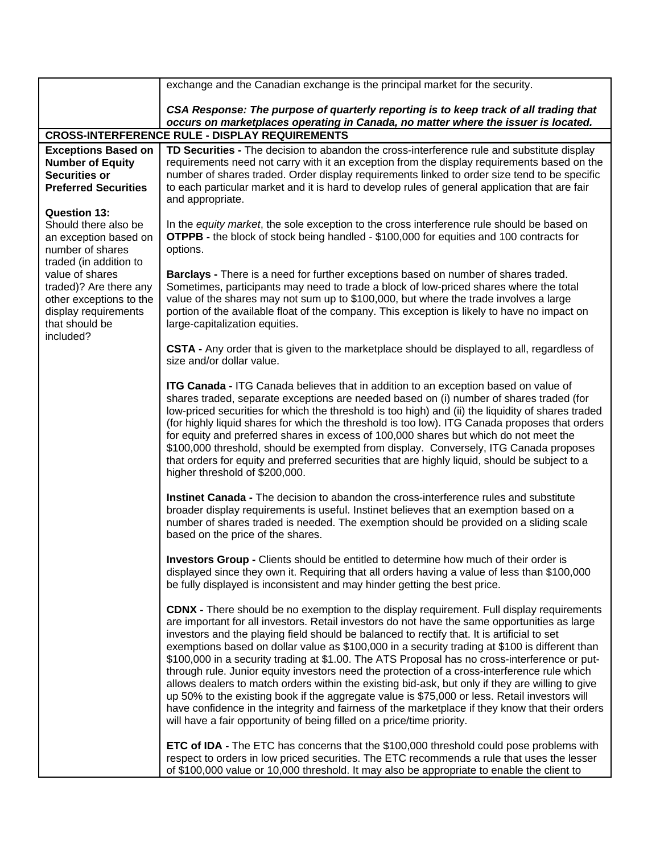|                                                                                                                                                                                                                                                   | exchange and the Canadian exchange is the principal market for the security.                                                                                                                                                                                                                                                                                                                                                                                                                                                                                                                                                                                                                                                                                                                                                                                                                                                                                                          |
|---------------------------------------------------------------------------------------------------------------------------------------------------------------------------------------------------------------------------------------------------|---------------------------------------------------------------------------------------------------------------------------------------------------------------------------------------------------------------------------------------------------------------------------------------------------------------------------------------------------------------------------------------------------------------------------------------------------------------------------------------------------------------------------------------------------------------------------------------------------------------------------------------------------------------------------------------------------------------------------------------------------------------------------------------------------------------------------------------------------------------------------------------------------------------------------------------------------------------------------------------|
|                                                                                                                                                                                                                                                   | CSA Response: The purpose of quarterly reporting is to keep track of all trading that<br>occurs on marketplaces operating in Canada, no matter where the issuer is located.                                                                                                                                                                                                                                                                                                                                                                                                                                                                                                                                                                                                                                                                                                                                                                                                           |
|                                                                                                                                                                                                                                                   | <b>CROSS-INTERFERENCE RULE - DISPLAY REQUIREMENTS</b>                                                                                                                                                                                                                                                                                                                                                                                                                                                                                                                                                                                                                                                                                                                                                                                                                                                                                                                                 |
| <b>Exceptions Based on</b><br><b>Number of Equity</b><br><b>Securities or</b><br><b>Preferred Securities</b>                                                                                                                                      | TD Securities - The decision to abandon the cross-interference rule and substitute display<br>requirements need not carry with it an exception from the display requirements based on the<br>number of shares traded. Order display requirements linked to order size tend to be specific<br>to each particular market and it is hard to develop rules of general application that are fair<br>and appropriate.                                                                                                                                                                                                                                                                                                                                                                                                                                                                                                                                                                       |
| <b>Question 13:</b><br>Should there also be<br>an exception based on<br>number of shares<br>traded (in addition to<br>value of shares<br>traded)? Are there any<br>other exceptions to the<br>display requirements<br>that should be<br>included? | In the equity market, the sole exception to the cross interference rule should be based on<br><b>OTPPB</b> - the block of stock being handled - \$100,000 for equities and 100 contracts for<br>options.                                                                                                                                                                                                                                                                                                                                                                                                                                                                                                                                                                                                                                                                                                                                                                              |
|                                                                                                                                                                                                                                                   | Barclays - There is a need for further exceptions based on number of shares traded.<br>Sometimes, participants may need to trade a block of low-priced shares where the total<br>value of the shares may not sum up to \$100,000, but where the trade involves a large<br>portion of the available float of the company. This exception is likely to have no impact on<br>large-capitalization equities.                                                                                                                                                                                                                                                                                                                                                                                                                                                                                                                                                                              |
|                                                                                                                                                                                                                                                   | CSTA - Any order that is given to the marketplace should be displayed to all, regardless of<br>size and/or dollar value.                                                                                                                                                                                                                                                                                                                                                                                                                                                                                                                                                                                                                                                                                                                                                                                                                                                              |
|                                                                                                                                                                                                                                                   | <b>ITG Canada - ITG</b> Canada believes that in addition to an exception based on value of<br>shares traded, separate exceptions are needed based on (i) number of shares traded (for<br>low-priced securities for which the threshold is too high) and (ii) the liquidity of shares traded<br>(for highly liquid shares for which the threshold is too low). ITG Canada proposes that orders<br>for equity and preferred shares in excess of 100,000 shares but which do not meet the<br>\$100,000 threshold, should be exempted from display. Conversely, ITG Canada proposes<br>that orders for equity and preferred securities that are highly liquid, should be subject to a<br>higher threshold of \$200,000.                                                                                                                                                                                                                                                                   |
|                                                                                                                                                                                                                                                   | Instinet Canada - The decision to abandon the cross-interference rules and substitute<br>broader display requirements is useful. Instinet believes that an exemption based on a<br>number of shares traded is needed. The exemption should be provided on a sliding scale<br>based on the price of the shares.                                                                                                                                                                                                                                                                                                                                                                                                                                                                                                                                                                                                                                                                        |
|                                                                                                                                                                                                                                                   | Investors Group - Clients should be entitled to determine how much of their order is<br>displayed since they own it. Requiring that all orders having a value of less than \$100,000<br>be fully displayed is inconsistent and may hinder getting the best price.                                                                                                                                                                                                                                                                                                                                                                                                                                                                                                                                                                                                                                                                                                                     |
|                                                                                                                                                                                                                                                   | <b>CDNX</b> - There should be no exemption to the display requirement. Full display requirements<br>are important for all investors. Retail investors do not have the same opportunities as large<br>investors and the playing field should be balanced to rectify that. It is artificial to set<br>exemptions based on dollar value as \$100,000 in a security trading at \$100 is different than<br>\$100,000 in a security trading at \$1.00. The ATS Proposal has no cross-interference or put-<br>through rule. Junior equity investors need the protection of a cross-interference rule which<br>allows dealers to match orders within the existing bid-ask, but only if they are willing to give<br>up 50% to the existing book if the aggregate value is \$75,000 or less. Retail investors will<br>have confidence in the integrity and fairness of the marketplace if they know that their orders<br>will have a fair opportunity of being filled on a price/time priority. |
|                                                                                                                                                                                                                                                   | <b>ETC of IDA</b> - The ETC has concerns that the \$100,000 threshold could pose problems with<br>respect to orders in low priced securities. The ETC recommends a rule that uses the lesser<br>of \$100,000 value or 10,000 threshold. It may also be appropriate to enable the client to                                                                                                                                                                                                                                                                                                                                                                                                                                                                                                                                                                                                                                                                                            |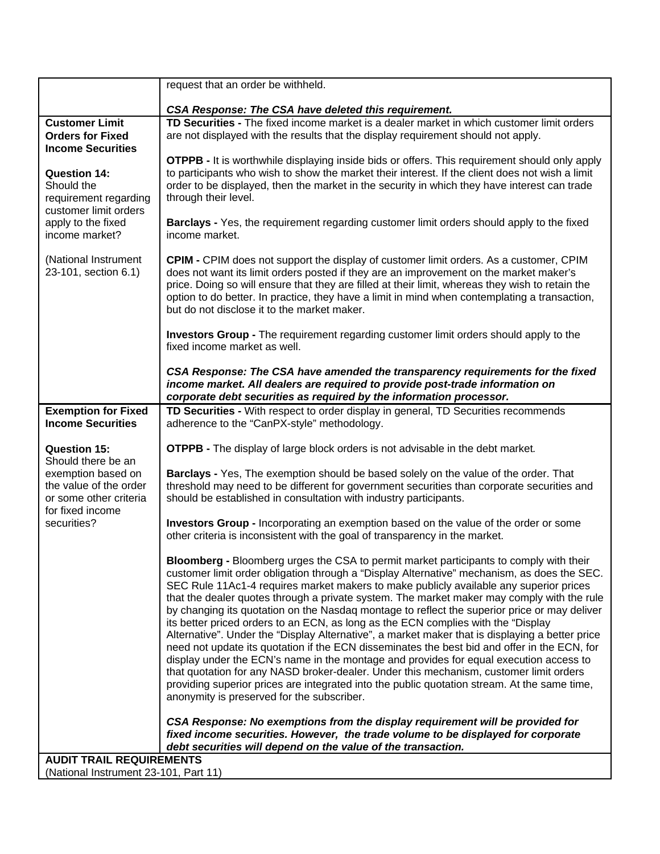|                                                                                                                  | request that an order be withheld.                                                                                                                                                                                                                                                                                                                                                                                                                                                                                                                                                                                                                                                                                                                                                                                                                                                                                                                                                                                                                                                                      |
|------------------------------------------------------------------------------------------------------------------|---------------------------------------------------------------------------------------------------------------------------------------------------------------------------------------------------------------------------------------------------------------------------------------------------------------------------------------------------------------------------------------------------------------------------------------------------------------------------------------------------------------------------------------------------------------------------------------------------------------------------------------------------------------------------------------------------------------------------------------------------------------------------------------------------------------------------------------------------------------------------------------------------------------------------------------------------------------------------------------------------------------------------------------------------------------------------------------------------------|
|                                                                                                                  | CSA Response: The CSA have deleted this requirement.                                                                                                                                                                                                                                                                                                                                                                                                                                                                                                                                                                                                                                                                                                                                                                                                                                                                                                                                                                                                                                                    |
| <b>Customer Limit</b><br><b>Orders for Fixed</b><br><b>Income Securities</b>                                     | TD Securities - The fixed income market is a dealer market in which customer limit orders<br>are not displayed with the results that the display requirement should not apply.                                                                                                                                                                                                                                                                                                                                                                                                                                                                                                                                                                                                                                                                                                                                                                                                                                                                                                                          |
| <b>Question 14:</b><br>Should the<br>requirement regarding<br>customer limit orders                              | OTPPB - It is worthwhile displaying inside bids or offers. This requirement should only apply<br>to participants who wish to show the market their interest. If the client does not wish a limit<br>order to be displayed, then the market in the security in which they have interest can trade<br>through their level.                                                                                                                                                                                                                                                                                                                                                                                                                                                                                                                                                                                                                                                                                                                                                                                |
| apply to the fixed<br>income market?                                                                             | <b>Barclays</b> - Yes, the requirement regarding customer limit orders should apply to the fixed<br>income market.                                                                                                                                                                                                                                                                                                                                                                                                                                                                                                                                                                                                                                                                                                                                                                                                                                                                                                                                                                                      |
| (National Instrument<br>23-101, section 6.1)                                                                     | <b>CPIM - CPIM</b> does not support the display of customer limit orders. As a customer, CPIM<br>does not want its limit orders posted if they are an improvement on the market maker's<br>price. Doing so will ensure that they are filled at their limit, whereas they wish to retain the<br>option to do better. In practice, they have a limit in mind when contemplating a transaction,<br>but do not disclose it to the market maker.                                                                                                                                                                                                                                                                                                                                                                                                                                                                                                                                                                                                                                                             |
|                                                                                                                  | <b>Investors Group -</b> The requirement regarding customer limit orders should apply to the<br>fixed income market as well.                                                                                                                                                                                                                                                                                                                                                                                                                                                                                                                                                                                                                                                                                                                                                                                                                                                                                                                                                                            |
|                                                                                                                  | CSA Response: The CSA have amended the transparency requirements for the fixed<br>income market. All dealers are required to provide post-trade information on<br>corporate debt securities as required by the information processor.                                                                                                                                                                                                                                                                                                                                                                                                                                                                                                                                                                                                                                                                                                                                                                                                                                                                   |
| <b>Exemption for Fixed</b><br><b>Income Securities</b>                                                           | TD Securities - With respect to order display in general, TD Securities recommends<br>adherence to the "CanPX-style" methodology.                                                                                                                                                                                                                                                                                                                                                                                                                                                                                                                                                                                                                                                                                                                                                                                                                                                                                                                                                                       |
| <b>Question 15:</b>                                                                                              | <b>OTPPB</b> - The display of large block orders is not advisable in the debt market.                                                                                                                                                                                                                                                                                                                                                                                                                                                                                                                                                                                                                                                                                                                                                                                                                                                                                                                                                                                                                   |
| Should there be an<br>exemption based on<br>the value of the order<br>or some other criteria<br>for fixed income | Barclays - Yes, The exemption should be based solely on the value of the order. That<br>threshold may need to be different for government securities than corporate securities and<br>should be established in consultation with industry participants.                                                                                                                                                                                                                                                                                                                                                                                                                                                                                                                                                                                                                                                                                                                                                                                                                                                 |
| securities?                                                                                                      | <b>Investors Group - Incorporating an exemption based on the value of the order or some</b><br>other criteria is inconsistent with the goal of transparency in the market.                                                                                                                                                                                                                                                                                                                                                                                                                                                                                                                                                                                                                                                                                                                                                                                                                                                                                                                              |
|                                                                                                                  | Bloomberg - Bloomberg urges the CSA to permit market participants to comply with their<br>customer limit order obligation through a "Display Alternative" mechanism, as does the SEC.<br>SEC Rule 11Ac1-4 requires market makers to make publicly available any superior prices<br>that the dealer quotes through a private system. The market maker may comply with the rule<br>by changing its quotation on the Nasdaq montage to reflect the superior price or may deliver<br>its better priced orders to an ECN, as long as the ECN complies with the "Display<br>Alternative". Under the "Display Alternative", a market maker that is displaying a better price<br>need not update its quotation if the ECN disseminates the best bid and offer in the ECN, for<br>display under the ECN's name in the montage and provides for equal execution access to<br>that quotation for any NASD broker-dealer. Under this mechanism, customer limit orders<br>providing superior prices are integrated into the public quotation stream. At the same time,<br>anonymity is preserved for the subscriber. |
|                                                                                                                  | CSA Response: No exemptions from the display requirement will be provided for<br>fixed income securities. However, the trade volume to be displayed for corporate<br>debt securities will depend on the value of the transaction.                                                                                                                                                                                                                                                                                                                                                                                                                                                                                                                                                                                                                                                                                                                                                                                                                                                                       |
| <b>AUDIT TRAIL REQUIREMENTS</b>                                                                                  |                                                                                                                                                                                                                                                                                                                                                                                                                                                                                                                                                                                                                                                                                                                                                                                                                                                                                                                                                                                                                                                                                                         |
| (National Instrument 23-101, Part 11)                                                                            |                                                                                                                                                                                                                                                                                                                                                                                                                                                                                                                                                                                                                                                                                                                                                                                                                                                                                                                                                                                                                                                                                                         |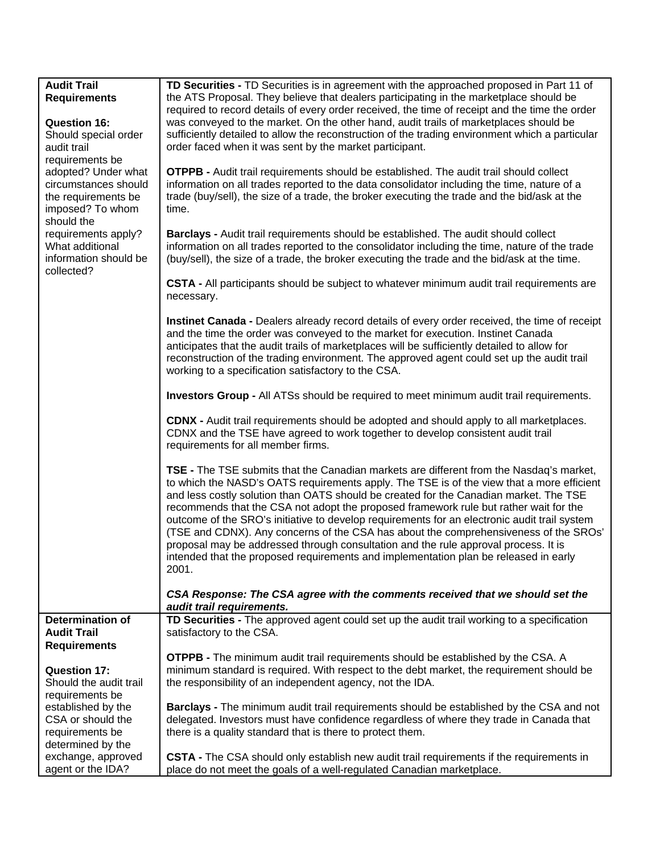| <b>Audit Trail</b><br>TD Securities - TD Securities is in agreement with the approached proposed in Part 11 of                                                                                                     |  |
|--------------------------------------------------------------------------------------------------------------------------------------------------------------------------------------------------------------------|--|
| <b>Requirements</b><br>the ATS Proposal. They believe that dealers participating in the marketplace should be                                                                                                      |  |
| required to record details of every order received, the time of receipt and the time the order                                                                                                                     |  |
| was conveyed to the market. On the other hand, audit trails of marketplaces should be<br><b>Question 16:</b>                                                                                                       |  |
| sufficiently detailed to allow the reconstruction of the trading environment which a particular<br>Should special order                                                                                            |  |
| order faced when it was sent by the market participant.<br>audit trail                                                                                                                                             |  |
| requirements be                                                                                                                                                                                                    |  |
| <b>OTPPB -</b> Audit trail requirements should be established. The audit trail should collect<br>adopted? Under what<br>circumstances should                                                                       |  |
| information on all trades reported to the data consolidator including the time, nature of a<br>the requirements be<br>trade (buy/sell), the size of a trade, the broker executing the trade and the bid/ask at the |  |
| imposed? To whom<br>time.                                                                                                                                                                                          |  |
| should the                                                                                                                                                                                                         |  |
| requirements apply?<br>Barclays - Audit trail requirements should be established. The audit should collect                                                                                                         |  |
| What additional<br>information on all trades reported to the consolidator including the time, nature of the trade                                                                                                  |  |
| information should be<br>(buy/sell), the size of a trade, the broker executing the trade and the bid/ask at the time.                                                                                              |  |
| collected?                                                                                                                                                                                                         |  |
| CSTA - All participants should be subject to whatever minimum audit trail requirements are                                                                                                                         |  |
| necessary.                                                                                                                                                                                                         |  |
|                                                                                                                                                                                                                    |  |
| Instinet Canada - Dealers already record details of every order received, the time of receipt                                                                                                                      |  |
| and the time the order was conveyed to the market for execution. Instinet Canada<br>anticipates that the audit trails of marketplaces will be sufficiently detailed to allow for                                   |  |
| reconstruction of the trading environment. The approved agent could set up the audit trail                                                                                                                         |  |
| working to a specification satisfactory to the CSA.                                                                                                                                                                |  |
|                                                                                                                                                                                                                    |  |
| <b>Investors Group - All ATSs should be required to meet minimum audit trail requirements.</b>                                                                                                                     |  |
| <b>CDNX - Audit trail requirements should be adopted and should apply to all marketplaces.</b>                                                                                                                     |  |
| CDNX and the TSE have agreed to work together to develop consistent audit trail                                                                                                                                    |  |
| requirements for all member firms.                                                                                                                                                                                 |  |
|                                                                                                                                                                                                                    |  |
| <b>TSE -</b> The TSE submits that the Canadian markets are different from the Nasdaq's market,                                                                                                                     |  |
| to which the NASD's OATS requirements apply. The TSE is of the view that a more efficient<br>and less costly solution than OATS should be created for the Canadian market. The TSE                                 |  |
| recommends that the CSA not adopt the proposed framework rule but rather wait for the                                                                                                                              |  |
| outcome of the SRO's initiative to develop requirements for an electronic audit trail system                                                                                                                       |  |
| (TSE and CDNX). Any concerns of the CSA has about the comprehensiveness of the SROs'                                                                                                                               |  |
| proposal may be addressed through consultation and the rule approval process. It is                                                                                                                                |  |
| intended that the proposed requirements and implementation plan be released in early                                                                                                                               |  |
| 2001.                                                                                                                                                                                                              |  |
|                                                                                                                                                                                                                    |  |
| CSA Response: The CSA agree with the comments received that we should set the<br>audit trail requirements.                                                                                                         |  |
| <b>Determination of</b><br>TD Securities - The approved agent could set up the audit trail working to a specification                                                                                              |  |
| satisfactory to the CSA.<br><b>Audit Trail</b>                                                                                                                                                                     |  |
| <b>Requirements</b>                                                                                                                                                                                                |  |
| <b>OTPPB -</b> The minimum audit trail requirements should be established by the CSA. A                                                                                                                            |  |
| minimum standard is required. With respect to the debt market, the requirement should be<br><b>Question 17:</b>                                                                                                    |  |
| the responsibility of an independent agency, not the IDA.<br>Should the audit trail                                                                                                                                |  |
| requirements be                                                                                                                                                                                                    |  |
| established by the<br>Barclays - The minimum audit trail requirements should be established by the CSA and not                                                                                                     |  |
| CSA or should the<br>delegated. Investors must have confidence regardless of where they trade in Canada that                                                                                                       |  |
| there is a quality standard that is there to protect them.<br>requirements be<br>determined by the                                                                                                                 |  |
| exchange, approved<br>CSTA - The CSA should only establish new audit trail requirements if the requirements in                                                                                                     |  |
| agent or the IDA?<br>place do not meet the goals of a well-regulated Canadian marketplace.                                                                                                                         |  |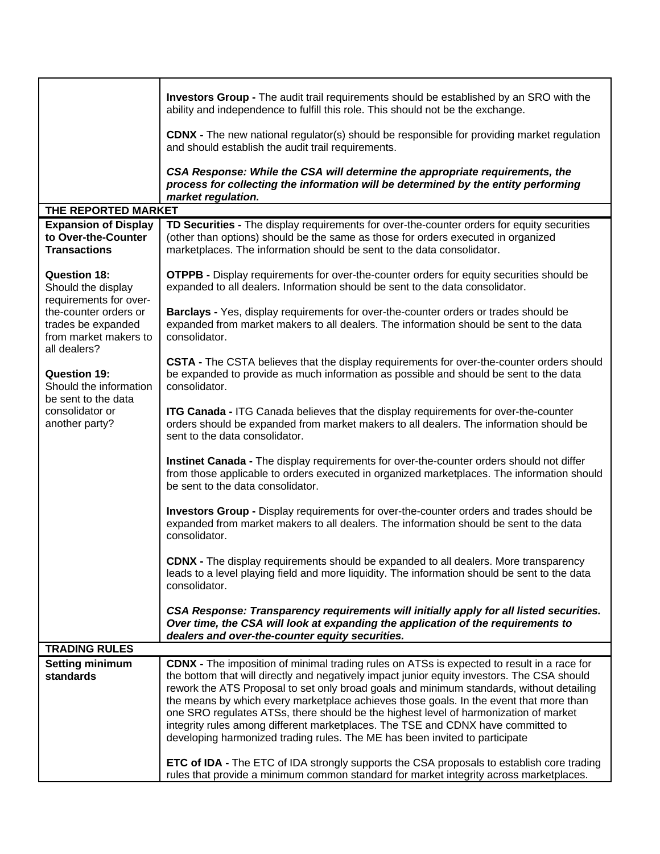|                                                                                                                                                                                                                                                                          | <b>Investors Group - The audit trail requirements should be established by an SRO with the</b><br>ability and independence to fulfill this role. This should not be the exchange.                                                                                                                                                                                                                                                                                                                                                                                                                                                                 |
|--------------------------------------------------------------------------------------------------------------------------------------------------------------------------------------------------------------------------------------------------------------------------|---------------------------------------------------------------------------------------------------------------------------------------------------------------------------------------------------------------------------------------------------------------------------------------------------------------------------------------------------------------------------------------------------------------------------------------------------------------------------------------------------------------------------------------------------------------------------------------------------------------------------------------------------|
|                                                                                                                                                                                                                                                                          | <b>CDNX</b> - The new national regulator(s) should be responsible for providing market regulation<br>and should establish the audit trail requirements.                                                                                                                                                                                                                                                                                                                                                                                                                                                                                           |
|                                                                                                                                                                                                                                                                          | CSA Response: While the CSA will determine the appropriate requirements, the<br>process for collecting the information will be determined by the entity performing                                                                                                                                                                                                                                                                                                                                                                                                                                                                                |
| THE REPORTED MARKET                                                                                                                                                                                                                                                      | market regulation.                                                                                                                                                                                                                                                                                                                                                                                                                                                                                                                                                                                                                                |
| <b>Expansion of Display</b>                                                                                                                                                                                                                                              | TD Securities - The display requirements for over-the-counter orders for equity securities                                                                                                                                                                                                                                                                                                                                                                                                                                                                                                                                                        |
| to Over-the-Counter<br><b>Transactions</b>                                                                                                                                                                                                                               | (other than options) should be the same as those for orders executed in organized<br>marketplaces. The information should be sent to the data consolidator.                                                                                                                                                                                                                                                                                                                                                                                                                                                                                       |
| <b>Question 18:</b><br>Should the display<br>requirements for over-<br>the-counter orders or<br>trades be expanded<br>from market makers to<br>all dealers?<br><b>Question 19:</b><br>Should the information<br>be sent to the data<br>consolidator or<br>another party? | <b>OTPPB -</b> Display requirements for over-the-counter orders for equity securities should be<br>expanded to all dealers. Information should be sent to the data consolidator.                                                                                                                                                                                                                                                                                                                                                                                                                                                                  |
|                                                                                                                                                                                                                                                                          | <b>Barclays - Yes, display requirements for over-the-counter orders or trades should be</b><br>expanded from market makers to all dealers. The information should be sent to the data<br>consolidator.                                                                                                                                                                                                                                                                                                                                                                                                                                            |
|                                                                                                                                                                                                                                                                          | CSTA - The CSTA believes that the display requirements for over-the-counter orders should<br>be expanded to provide as much information as possible and should be sent to the data<br>consolidator.                                                                                                                                                                                                                                                                                                                                                                                                                                               |
|                                                                                                                                                                                                                                                                          | <b>ITG Canada - ITG Canada believes that the display requirements for over-the-counter</b><br>orders should be expanded from market makers to all dealers. The information should be<br>sent to the data consolidator.                                                                                                                                                                                                                                                                                                                                                                                                                            |
|                                                                                                                                                                                                                                                                          | Instinet Canada - The display requirements for over-the-counter orders should not differ<br>from those applicable to orders executed in organized marketplaces. The information should<br>be sent to the data consolidator.                                                                                                                                                                                                                                                                                                                                                                                                                       |
|                                                                                                                                                                                                                                                                          | Investors Group - Display requirements for over-the-counter orders and trades should be<br>expanded from market makers to all dealers. The information should be sent to the data<br>consolidator.                                                                                                                                                                                                                                                                                                                                                                                                                                                |
|                                                                                                                                                                                                                                                                          | <b>CDNX -</b> The display requirements should be expanded to all dealers. More transparency<br>leads to a level playing field and more liquidity. The information should be sent to the data<br>consolidator.                                                                                                                                                                                                                                                                                                                                                                                                                                     |
|                                                                                                                                                                                                                                                                          | CSA Response: Transparency requirements will initially apply for all listed securities.<br>Over time, the CSA will look at expanding the application of the requirements to<br>dealers and over-the-counter equity securities.                                                                                                                                                                                                                                                                                                                                                                                                                    |
| <b>TRADING RULES</b>                                                                                                                                                                                                                                                     |                                                                                                                                                                                                                                                                                                                                                                                                                                                                                                                                                                                                                                                   |
| <b>Setting minimum</b><br>standards                                                                                                                                                                                                                                      | <b>CDNX</b> - The imposition of minimal trading rules on ATSs is expected to result in a race for<br>the bottom that will directly and negatively impact junior equity investors. The CSA should<br>rework the ATS Proposal to set only broad goals and minimum standards, without detailing<br>the means by which every marketplace achieves those goals. In the event that more than<br>one SRO regulates ATSs, there should be the highest level of harmonization of market<br>integrity rules among different marketplaces. The TSE and CDNX have committed to<br>developing harmonized trading rules. The ME has been invited to participate |
|                                                                                                                                                                                                                                                                          | <b>ETC of IDA -</b> The ETC of IDA strongly supports the CSA proposals to establish core trading<br>rules that provide a minimum common standard for market integrity across marketplaces.                                                                                                                                                                                                                                                                                                                                                                                                                                                        |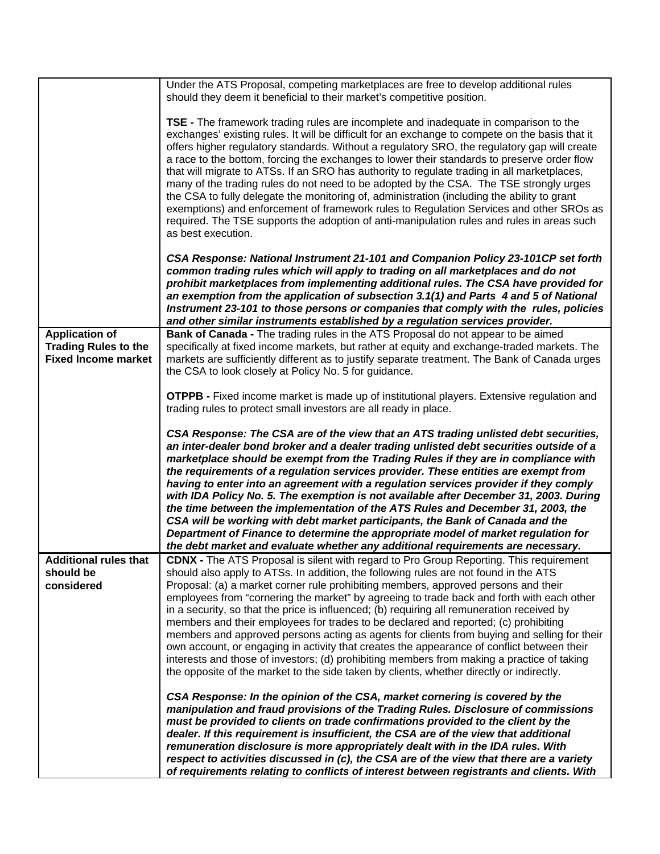|                             | Under the ATS Proposal, competing marketplaces are free to develop additional rules<br>should they deem it beneficial to their market's competitive position.                                                                                                                                                                                                                                                                                                                                                                                                                                                                                                                                                                                                                                                                                                                                        |
|-----------------------------|------------------------------------------------------------------------------------------------------------------------------------------------------------------------------------------------------------------------------------------------------------------------------------------------------------------------------------------------------------------------------------------------------------------------------------------------------------------------------------------------------------------------------------------------------------------------------------------------------------------------------------------------------------------------------------------------------------------------------------------------------------------------------------------------------------------------------------------------------------------------------------------------------|
|                             | <b>TSE</b> - The framework trading rules are incomplete and inadequate in comparison to the<br>exchanges' existing rules. It will be difficult for an exchange to compete on the basis that it<br>offers higher regulatory standards. Without a regulatory SRO, the regulatory gap will create<br>a race to the bottom, forcing the exchanges to lower their standards to preserve order flow<br>that will migrate to ATSs. If an SRO has authority to regulate trading in all marketplaces,<br>many of the trading rules do not need to be adopted by the CSA. The TSE strongly urges<br>the CSA to fully delegate the monitoring of, administration (including the ability to grant<br>exemptions) and enforcement of framework rules to Regulation Services and other SROs as<br>required. The TSE supports the adoption of anti-manipulation rules and rules in areas such<br>as best execution. |
|                             | CSA Response: National Instrument 21-101 and Companion Policy 23-101CP set forth<br>common trading rules which will apply to trading on all marketplaces and do not<br>prohibit marketplaces from implementing additional rules. The CSA have provided for<br>an exemption from the application of subsection 3.1(1) and Parts 4 and 5 of National<br>Instrument 23-101 to those persons or companies that comply with the rules, policies<br>and other similar instruments established by a regulation services provider.                                                                                                                                                                                                                                                                                                                                                                           |
| <b>Application of</b>       | Bank of Canada - The trading rules in the ATS Proposal do not appear to be aimed                                                                                                                                                                                                                                                                                                                                                                                                                                                                                                                                                                                                                                                                                                                                                                                                                     |
| <b>Trading Rules to the</b> | specifically at fixed income markets, but rather at equity and exchange-traded markets. The                                                                                                                                                                                                                                                                                                                                                                                                                                                                                                                                                                                                                                                                                                                                                                                                          |
| <b>Fixed Income market</b>  | markets are sufficiently different as to justify separate treatment. The Bank of Canada urges                                                                                                                                                                                                                                                                                                                                                                                                                                                                                                                                                                                                                                                                                                                                                                                                        |
|                             | the CSA to look closely at Policy No. 5 for guidance.                                                                                                                                                                                                                                                                                                                                                                                                                                                                                                                                                                                                                                                                                                                                                                                                                                                |
|                             |                                                                                                                                                                                                                                                                                                                                                                                                                                                                                                                                                                                                                                                                                                                                                                                                                                                                                                      |
|                             | <b>OTPPB - Fixed income market is made up of institutional players. Extensive regulation and</b>                                                                                                                                                                                                                                                                                                                                                                                                                                                                                                                                                                                                                                                                                                                                                                                                     |
|                             | trading rules to protect small investors are all ready in place.                                                                                                                                                                                                                                                                                                                                                                                                                                                                                                                                                                                                                                                                                                                                                                                                                                     |
|                             | CSA Response: The CSA are of the view that an ATS trading unlisted debt securities,<br>an inter-dealer bond broker and a dealer trading unlisted debt securities outside of a<br>marketplace should be exempt from the Trading Rules if they are in compliance with<br>the requirements of a regulation services provider. These entities are exempt from<br>having to enter into an agreement with a regulation services provider if they comply<br>with IDA Policy No. 5. The exemption is not available after December 31, 2003. During<br>the time between the implementation of the ATS Rules and December 31, 2003, the<br>CSA will be working with debt market participants, the Bank of Canada and the<br>Department of Finance to determine the appropriate model of market regulation for                                                                                                  |
|                             | the debt market and evaluate whether any additional requirements are necessary.                                                                                                                                                                                                                                                                                                                                                                                                                                                                                                                                                                                                                                                                                                                                                                                                                      |
| Additional rules that       | CDNX - The ATS Proposal is silent with regard to Pro Group Reporting. This requirement                                                                                                                                                                                                                                                                                                                                                                                                                                                                                                                                                                                                                                                                                                                                                                                                               |
| should be                   | should also apply to ATSs. In addition, the following rules are not found in the ATS                                                                                                                                                                                                                                                                                                                                                                                                                                                                                                                                                                                                                                                                                                                                                                                                                 |
| considered                  | Proposal: (a) a market corner rule prohibiting members, approved persons and their                                                                                                                                                                                                                                                                                                                                                                                                                                                                                                                                                                                                                                                                                                                                                                                                                   |
|                             | employees from "cornering the market" by agreeing to trade back and forth with each other                                                                                                                                                                                                                                                                                                                                                                                                                                                                                                                                                                                                                                                                                                                                                                                                            |
|                             | in a security, so that the price is influenced; (b) requiring all remuneration received by                                                                                                                                                                                                                                                                                                                                                                                                                                                                                                                                                                                                                                                                                                                                                                                                           |
|                             | members and their employees for trades to be declared and reported; (c) prohibiting                                                                                                                                                                                                                                                                                                                                                                                                                                                                                                                                                                                                                                                                                                                                                                                                                  |
|                             | members and approved persons acting as agents for clients from buying and selling for their                                                                                                                                                                                                                                                                                                                                                                                                                                                                                                                                                                                                                                                                                                                                                                                                          |
|                             | own account, or engaging in activity that creates the appearance of conflict between their<br>interests and those of investors; (d) prohibiting members from making a practice of taking                                                                                                                                                                                                                                                                                                                                                                                                                                                                                                                                                                                                                                                                                                             |
|                             | the opposite of the market to the side taken by clients, whether directly or indirectly.                                                                                                                                                                                                                                                                                                                                                                                                                                                                                                                                                                                                                                                                                                                                                                                                             |
|                             |                                                                                                                                                                                                                                                                                                                                                                                                                                                                                                                                                                                                                                                                                                                                                                                                                                                                                                      |
|                             | CSA Response: In the opinion of the CSA, market cornering is covered by the                                                                                                                                                                                                                                                                                                                                                                                                                                                                                                                                                                                                                                                                                                                                                                                                                          |
|                             | manipulation and fraud provisions of the Trading Rules. Disclosure of commissions                                                                                                                                                                                                                                                                                                                                                                                                                                                                                                                                                                                                                                                                                                                                                                                                                    |
|                             | must be provided to clients on trade confirmations provided to the client by the                                                                                                                                                                                                                                                                                                                                                                                                                                                                                                                                                                                                                                                                                                                                                                                                                     |
|                             | dealer. If this requirement is insufficient, the CSA are of the view that additional                                                                                                                                                                                                                                                                                                                                                                                                                                                                                                                                                                                                                                                                                                                                                                                                                 |
|                             | remuneration disclosure is more appropriately dealt with in the IDA rules. With                                                                                                                                                                                                                                                                                                                                                                                                                                                                                                                                                                                                                                                                                                                                                                                                                      |
|                             | respect to activities discussed in (c), the CSA are of the view that there are a variety                                                                                                                                                                                                                                                                                                                                                                                                                                                                                                                                                                                                                                                                                                                                                                                                             |
|                             | of requirements relating to conflicts of interest between registrants and clients. With                                                                                                                                                                                                                                                                                                                                                                                                                                                                                                                                                                                                                                                                                                                                                                                                              |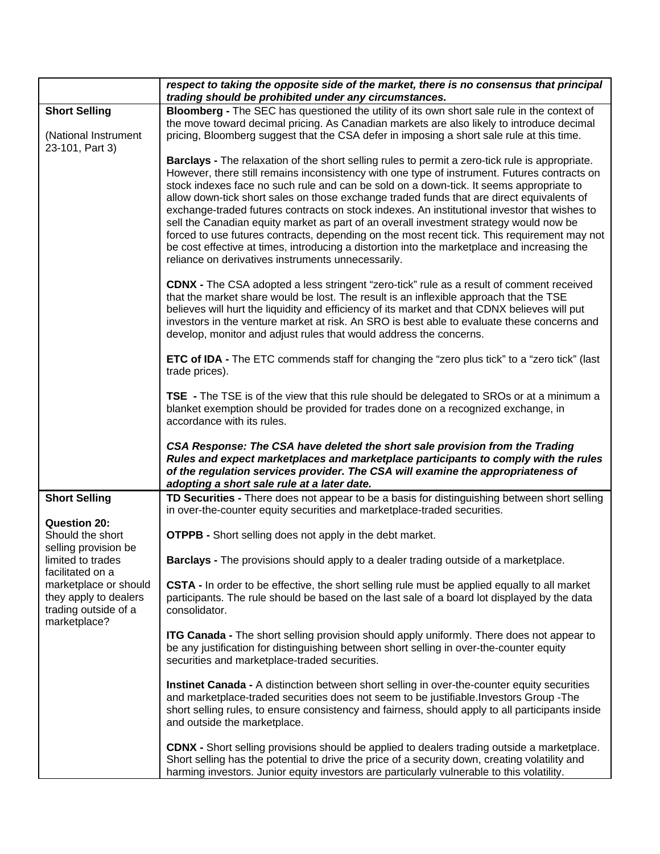|                                                                                                                                                                                                    | respect to taking the opposite side of the market, there is no consensus that principal<br>trading should be prohibited under any circumstances.                                                                                                                                                                                                                                                                                                                                                                                                                                                                                                                                                                                                                                                                                               |
|----------------------------------------------------------------------------------------------------------------------------------------------------------------------------------------------------|------------------------------------------------------------------------------------------------------------------------------------------------------------------------------------------------------------------------------------------------------------------------------------------------------------------------------------------------------------------------------------------------------------------------------------------------------------------------------------------------------------------------------------------------------------------------------------------------------------------------------------------------------------------------------------------------------------------------------------------------------------------------------------------------------------------------------------------------|
| <b>Short Selling</b><br>(National Instrument<br>23-101, Part 3)                                                                                                                                    | Bloomberg - The SEC has questioned the utility of its own short sale rule in the context of<br>the move toward decimal pricing. As Canadian markets are also likely to introduce decimal<br>pricing, Bloomberg suggest that the CSA defer in imposing a short sale rule at this time.                                                                                                                                                                                                                                                                                                                                                                                                                                                                                                                                                          |
|                                                                                                                                                                                                    | <b>Barclays</b> - The relaxation of the short selling rules to permit a zero-tick rule is appropriate.<br>However, there still remains inconsistency with one type of instrument. Futures contracts on<br>stock indexes face no such rule and can be sold on a down-tick. It seems appropriate to<br>allow down-tick short sales on those exchange traded funds that are direct equivalents of<br>exchange-traded futures contracts on stock indexes. An institutional investor that wishes to<br>sell the Canadian equity market as part of an overall investment strategy would now be<br>forced to use futures contracts, depending on the most recent tick. This requirement may not<br>be cost effective at times, introducing a distortion into the marketplace and increasing the<br>reliance on derivatives instruments unnecessarily. |
|                                                                                                                                                                                                    | <b>CDNX -</b> The CSA adopted a less stringent "zero-tick" rule as a result of comment received<br>that the market share would be lost. The result is an inflexible approach that the TSE<br>believes will hurt the liquidity and efficiency of its market and that CDNX believes will put<br>investors in the venture market at risk. An SRO is best able to evaluate these concerns and<br>develop, monitor and adjust rules that would address the concerns.                                                                                                                                                                                                                                                                                                                                                                                |
|                                                                                                                                                                                                    | <b>ETC of IDA</b> - The ETC commends staff for changing the "zero plus tick" to a "zero tick" (last<br>trade prices).                                                                                                                                                                                                                                                                                                                                                                                                                                                                                                                                                                                                                                                                                                                          |
|                                                                                                                                                                                                    | <b>TSE</b> - The TSE is of the view that this rule should be delegated to SROs or at a minimum a<br>blanket exemption should be provided for trades done on a recognized exchange, in<br>accordance with its rules.                                                                                                                                                                                                                                                                                                                                                                                                                                                                                                                                                                                                                            |
|                                                                                                                                                                                                    | CSA Response: The CSA have deleted the short sale provision from the Trading<br>Rules and expect marketplaces and marketplace participants to comply with the rules<br>of the regulation services provider. The CSA will examine the appropriateness of<br>adopting a short sale rule at a later date.                                                                                                                                                                                                                                                                                                                                                                                                                                                                                                                                         |
| <b>Short Selling</b>                                                                                                                                                                               | TD Securities - There does not appear to be a basis for distinguishing between short selling<br>in over-the-counter equity securities and marketplace-traded securities.                                                                                                                                                                                                                                                                                                                                                                                                                                                                                                                                                                                                                                                                       |
| <b>Question 20:</b><br>Should the short<br>selling provision be<br>limited to trades<br>facilitated on a<br>marketplace or should<br>they apply to dealers<br>trading outside of a<br>marketplace? | <b>OTPPB -</b> Short selling does not apply in the debt market.                                                                                                                                                                                                                                                                                                                                                                                                                                                                                                                                                                                                                                                                                                                                                                                |
|                                                                                                                                                                                                    | <b>Barclays</b> - The provisions should apply to a dealer trading outside of a marketplace.                                                                                                                                                                                                                                                                                                                                                                                                                                                                                                                                                                                                                                                                                                                                                    |
|                                                                                                                                                                                                    | CSTA - In order to be effective, the short selling rule must be applied equally to all market<br>participants. The rule should be based on the last sale of a board lot displayed by the data<br>consolidator.                                                                                                                                                                                                                                                                                                                                                                                                                                                                                                                                                                                                                                 |
|                                                                                                                                                                                                    | <b>ITG Canada - The short selling provision should apply uniformly. There does not appear to</b><br>be any justification for distinguishing between short selling in over-the-counter equity<br>securities and marketplace-traded securities.                                                                                                                                                                                                                                                                                                                                                                                                                                                                                                                                                                                                  |
|                                                                                                                                                                                                    | <b>Instinet Canada - A distinction between short selling in over-the-counter equity securities</b><br>and marketplace-traded securities does not seem to be justifiable. Investors Group -The<br>short selling rules, to ensure consistency and fairness, should apply to all participants inside<br>and outside the marketplace.                                                                                                                                                                                                                                                                                                                                                                                                                                                                                                              |
|                                                                                                                                                                                                    | <b>CDNX</b> - Short selling provisions should be applied to dealers trading outside a marketplace.<br>Short selling has the potential to drive the price of a security down, creating volatility and<br>harming investors. Junior equity investors are particularly vulnerable to this volatility.                                                                                                                                                                                                                                                                                                                                                                                                                                                                                                                                             |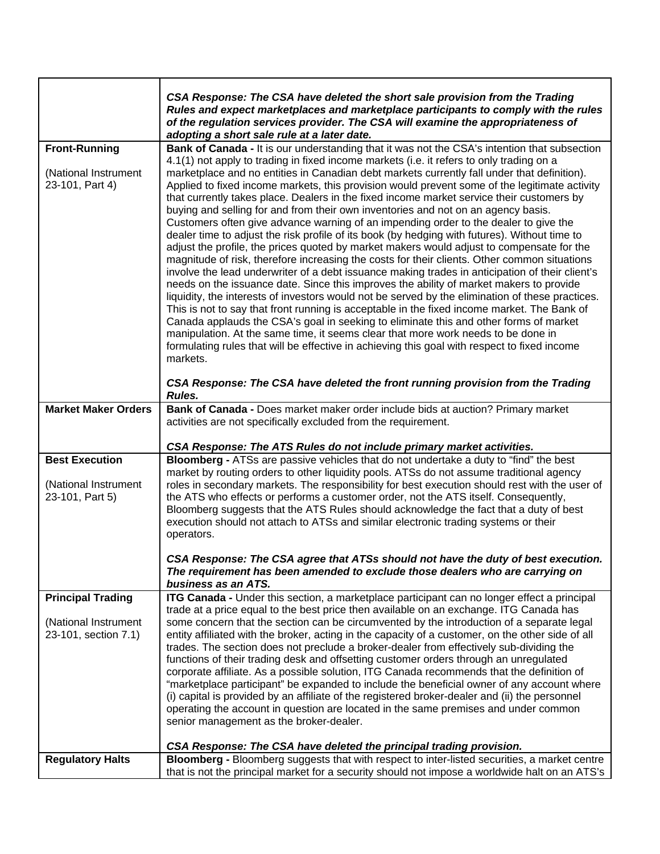|                                                                          | CSA Response: The CSA have deleted the short sale provision from the Trading<br>Rules and expect marketplaces and marketplace participants to comply with the rules<br>of the regulation services provider. The CSA will examine the appropriateness of<br>adopting a short sale rule at a later date.                                                                                                                                                                                                                                                                                                                                                                                                                                                                                                                                                                                                                                                                                                                                                                                                                                                                                                                                                                                                                                                                                                                                                                                                                                                                                                                                                      |
|--------------------------------------------------------------------------|-------------------------------------------------------------------------------------------------------------------------------------------------------------------------------------------------------------------------------------------------------------------------------------------------------------------------------------------------------------------------------------------------------------------------------------------------------------------------------------------------------------------------------------------------------------------------------------------------------------------------------------------------------------------------------------------------------------------------------------------------------------------------------------------------------------------------------------------------------------------------------------------------------------------------------------------------------------------------------------------------------------------------------------------------------------------------------------------------------------------------------------------------------------------------------------------------------------------------------------------------------------------------------------------------------------------------------------------------------------------------------------------------------------------------------------------------------------------------------------------------------------------------------------------------------------------------------------------------------------------------------------------------------------|
| <b>Front-Running</b><br>(National Instrument<br>23-101, Part 4)          | Bank of Canada - It is our understanding that it was not the CSA's intention that subsection<br>4.1(1) not apply to trading in fixed income markets (i.e. it refers to only trading on a<br>marketplace and no entities in Canadian debt markets currently fall under that definition).<br>Applied to fixed income markets, this provision would prevent some of the legitimate activity<br>that currently takes place. Dealers in the fixed income market service their customers by<br>buying and selling for and from their own inventories and not on an agency basis.<br>Customers often give advance warning of an impending order to the dealer to give the<br>dealer time to adjust the risk profile of its book (by hedging with futures). Without time to<br>adjust the profile, the prices quoted by market makers would adjust to compensate for the<br>magnitude of risk, therefore increasing the costs for their clients. Other common situations<br>involve the lead underwriter of a debt issuance making trades in anticipation of their client's<br>needs on the issuance date. Since this improves the ability of market makers to provide<br>liquidity, the interests of investors would not be served by the elimination of these practices.<br>This is not to say that front running is acceptable in the fixed income market. The Bank of<br>Canada applauds the CSA's goal in seeking to eliminate this and other forms of market<br>manipulation. At the same time, it seems clear that more work needs to be done in<br>formulating rules that will be effective in achieving this goal with respect to fixed income<br>markets. |
|                                                                          | CSA Response: The CSA have deleted the front running provision from the Trading<br>Rules.                                                                                                                                                                                                                                                                                                                                                                                                                                                                                                                                                                                                                                                                                                                                                                                                                                                                                                                                                                                                                                                                                                                                                                                                                                                                                                                                                                                                                                                                                                                                                                   |
| <b>Market Maker Orders</b>                                               | Bank of Canada - Does market maker order include bids at auction? Primary market<br>activities are not specifically excluded from the requirement.                                                                                                                                                                                                                                                                                                                                                                                                                                                                                                                                                                                                                                                                                                                                                                                                                                                                                                                                                                                                                                                                                                                                                                                                                                                                                                                                                                                                                                                                                                          |
|                                                                          | CSA Response: The ATS Rules do not include primary market activities.                                                                                                                                                                                                                                                                                                                                                                                                                                                                                                                                                                                                                                                                                                                                                                                                                                                                                                                                                                                                                                                                                                                                                                                                                                                                                                                                                                                                                                                                                                                                                                                       |
| <b>Best Execution</b><br>(National Instrument<br>23-101, Part 5)         | Bloomberg - ATSs are passive vehicles that do not undertake a duty to "find" the best<br>market by routing orders to other liquidity pools. ATSs do not assume traditional agency<br>roles in secondary markets. The responsibility for best execution should rest with the user of<br>the ATS who effects or performs a customer order, not the ATS itself. Consequently,<br>Bloomberg suggests that the ATS Rules should acknowledge the fact that a duty of best<br>execution should not attach to ATSs and similar electronic trading systems or their<br>operators.                                                                                                                                                                                                                                                                                                                                                                                                                                                                                                                                                                                                                                                                                                                                                                                                                                                                                                                                                                                                                                                                                    |
|                                                                          | CSA Response: The CSA agree that ATSs should not have the duty of best execution.<br>The requirement has been amended to exclude those dealers who are carrying on<br>business as an ATS.                                                                                                                                                                                                                                                                                                                                                                                                                                                                                                                                                                                                                                                                                                                                                                                                                                                                                                                                                                                                                                                                                                                                                                                                                                                                                                                                                                                                                                                                   |
| <b>Principal Trading</b><br>(National Instrument<br>23-101, section 7.1) | ITG Canada - Under this section, a marketplace participant can no longer effect a principal<br>trade at a price equal to the best price then available on an exchange. ITG Canada has<br>some concern that the section can be circumvented by the introduction of a separate legal<br>entity affiliated with the broker, acting in the capacity of a customer, on the other side of all<br>trades. The section does not preclude a broker-dealer from effectively sub-dividing the<br>functions of their trading desk and offsetting customer orders through an unregulated<br>corporate affiliate. As a possible solution, ITG Canada recommends that the definition of<br>"marketplace participant" be expanded to include the beneficial owner of any account where<br>(i) capital is provided by an affiliate of the registered broker-dealer and (ii) the personnel<br>operating the account in question are located in the same premises and under common<br>senior management as the broker-dealer.<br>CSA Response: The CSA have deleted the principal trading provision.                                                                                                                                                                                                                                                                                                                                                                                                                                                                                                                                                                           |
| <b>Regulatory Halts</b>                                                  | Bloomberg - Bloomberg suggests that with respect to inter-listed securities, a market centre<br>that is not the principal market for a security should not impose a worldwide halt on an ATS's                                                                                                                                                                                                                                                                                                                                                                                                                                                                                                                                                                                                                                                                                                                                                                                                                                                                                                                                                                                                                                                                                                                                                                                                                                                                                                                                                                                                                                                              |